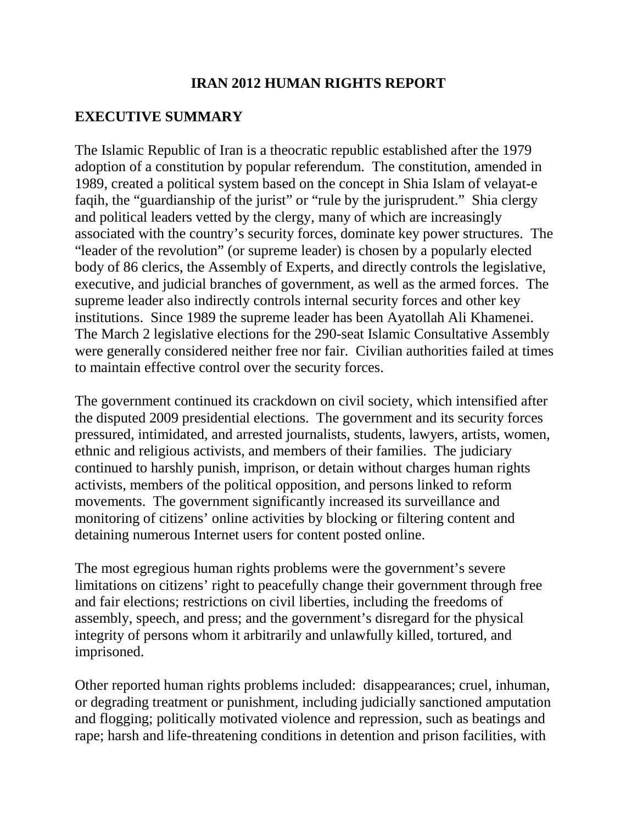## **IRAN 2012 HUMAN RIGHTS REPORT**

## **EXECUTIVE SUMMARY**

The Islamic Republic of Iran is a theocratic republic established after the 1979 adoption of a constitution by popular referendum. The constitution, amended in 1989, created a political system based on the concept in Shia Islam of velayat-e faqih, the "guardianship of the jurist" or "rule by the jurisprudent." Shia clergy and political leaders vetted by the clergy, many of which are increasingly associated with the country's security forces, dominate key power structures. The "leader of the revolution" (or supreme leader) is chosen by a popularly elected body of 86 clerics, the Assembly of Experts, and directly controls the legislative, executive, and judicial branches of government, as well as the armed forces. The supreme leader also indirectly controls internal security forces and other key institutions. Since 1989 the supreme leader has been Ayatollah Ali Khamenei. The March 2 legislative elections for the 290-seat Islamic Consultative Assembly were generally considered neither free nor fair. Civilian authorities failed at times to maintain effective control over the security forces.

The government continued its crackdown on civil society, which intensified after the disputed 2009 presidential elections. The government and its security forces pressured, intimidated, and arrested journalists, students, lawyers, artists, women, ethnic and religious activists, and members of their families. The judiciary continued to harshly punish, imprison, or detain without charges human rights activists, members of the political opposition, and persons linked to reform movements. The government significantly increased its surveillance and monitoring of citizens' online activities by blocking or filtering content and detaining numerous Internet users for content posted online.

The most egregious human rights problems were the government's severe limitations on citizens' right to peacefully change their government through free and fair elections; restrictions on civil liberties, including the freedoms of assembly, speech, and press; and the government's disregard for the physical integrity of persons whom it arbitrarily and unlawfully killed, tortured, and imprisoned.

Other reported human rights problems included: disappearances; cruel, inhuman, or degrading treatment or punishment, including judicially sanctioned amputation and flogging; politically motivated violence and repression, such as beatings and rape; harsh and life-threatening conditions in detention and prison facilities, with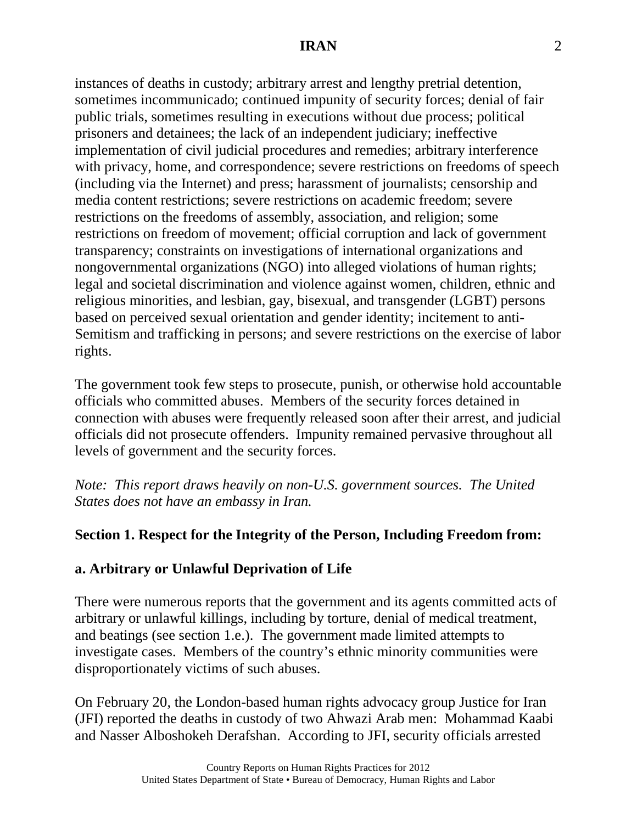instances of deaths in custody; arbitrary arrest and lengthy pretrial detention, sometimes incommunicado; continued impunity of security forces; denial of fair public trials, sometimes resulting in executions without due process; political prisoners and detainees; the lack of an independent judiciary; ineffective implementation of civil judicial procedures and remedies; arbitrary interference with privacy, home, and correspondence; severe restrictions on freedoms of speech (including via the Internet) and press; harassment of journalists; censorship and media content restrictions; severe restrictions on academic freedom; severe restrictions on the freedoms of assembly, association, and religion; some restrictions on freedom of movement; official corruption and lack of government transparency; constraints on investigations of international organizations and nongovernmental organizations (NGO) into alleged violations of human rights; legal and societal discrimination and violence against women, children, ethnic and religious minorities, and lesbian, gay, bisexual, and transgender (LGBT) persons based on perceived sexual orientation and gender identity; incitement to anti-Semitism and trafficking in persons; and severe restrictions on the exercise of labor rights.

The government took few steps to prosecute, punish, or otherwise hold accountable officials who committed abuses. Members of the security forces detained in connection with abuses were frequently released soon after their arrest, and judicial officials did not prosecute offenders. Impunity remained pervasive throughout all levels of government and the security forces.

*Note: This report draws heavily on non-U.S. government sources. The United States does not have an embassy in Iran.*

# **Section 1. Respect for the Integrity of the Person, Including Freedom from:**

# **a. Arbitrary or Unlawful Deprivation of Life**

There were numerous reports that the government and its agents committed acts of arbitrary or unlawful killings, including by torture, denial of medical treatment, and beatings (see section 1.e.). The government made limited attempts to investigate cases. Members of the country's ethnic minority communities were disproportionately victims of such abuses.

On February 20, the London-based human rights advocacy group Justice for Iran (JFI) reported the deaths in custody of two Ahwazi Arab men: Mohammad Kaabi and Nasser Alboshokeh Derafshan. According to JFI, security officials arrested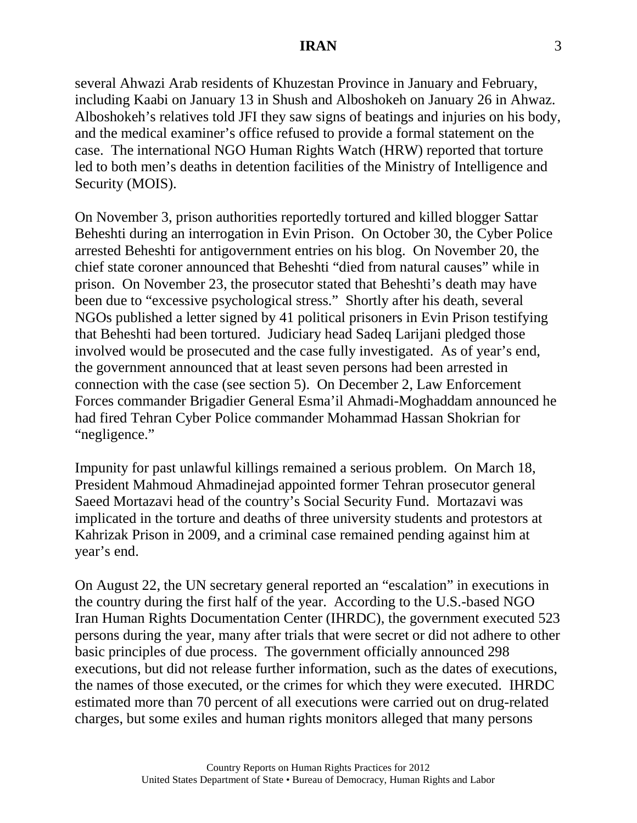several Ahwazi Arab residents of Khuzestan Province in January and February, including Kaabi on January 13 in Shush and Alboshokeh on January 26 in Ahwaz. Alboshokeh's relatives told JFI they saw signs of beatings and injuries on his body, and the medical examiner's office refused to provide a formal statement on the case. The international NGO Human Rights Watch (HRW) reported that torture led to both men's deaths in detention facilities of the Ministry of Intelligence and Security (MOIS).

On November 3, prison authorities reportedly tortured and killed blogger Sattar Beheshti during an interrogation in Evin Prison. On October 30, the Cyber Police arrested Beheshti for antigovernment entries on his blog. On November 20, the chief state coroner announced that Beheshti "died from natural causes" while in prison. On November 23, the prosecutor stated that Beheshti's death may have been due to "excessive psychological stress." Shortly after his death, several NGOs published a letter signed by 41 political prisoners in Evin Prison testifying that Beheshti had been tortured. Judiciary head Sadeq Larijani pledged those involved would be prosecuted and the case fully investigated. As of year's end, the government announced that at least seven persons had been arrested in connection with the case (see section 5). On December 2, Law Enforcement Forces commander Brigadier General Esma'il Ahmadi-Moghaddam announced he had fired Tehran Cyber Police commander Mohammad Hassan Shokrian for "negligence."

Impunity for past unlawful killings remained a serious problem. On March 18, President Mahmoud Ahmadinejad appointed former Tehran prosecutor general Saeed Mortazavi head of the country's Social Security Fund. Mortazavi was implicated in the torture and deaths of three university students and protestors at Kahrizak Prison in 2009, and a criminal case remained pending against him at year's end.

On August 22, the UN secretary general reported an "escalation" in executions in the country during the first half of the year. According to the U.S.-based NGO Iran Human Rights Documentation Center (IHRDC), the government executed 523 persons during the year, many after trials that were secret or did not adhere to other basic principles of due process. The government officially announced 298 executions, but did not release further information, such as the dates of executions, the names of those executed, or the crimes for which they were executed. IHRDC estimated more than 70 percent of all executions were carried out on drug-related charges, but some exiles and human rights monitors alleged that many persons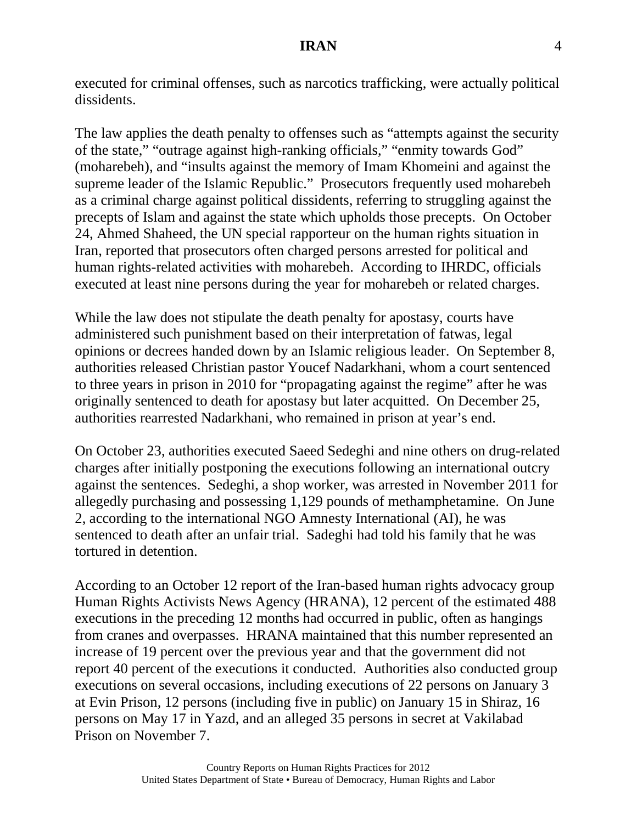executed for criminal offenses, such as narcotics trafficking, were actually political dissidents.

The law applies the death penalty to offenses such as "attempts against the security of the state," "outrage against high-ranking officials," "enmity towards God" (moharebeh), and "insults against the memory of Imam Khomeini and against the supreme leader of the Islamic Republic." Prosecutors frequently used moharebeh as a criminal charge against political dissidents, referring to struggling against the precepts of Islam and against the state which upholds those precepts. On October 24, Ahmed Shaheed, the UN special rapporteur on the human rights situation in Iran, reported that prosecutors often charged persons arrested for political and human rights-related activities with moharebeh. According to IHRDC, officials executed at least nine persons during the year for moharebeh or related charges.

While the law does not stipulate the death penalty for apostasy, courts have administered such punishment based on their interpretation of fatwas, legal opinions or decrees handed down by an Islamic religious leader. On September 8, authorities released Christian pastor Youcef Nadarkhani, whom a court sentenced to three years in prison in 2010 for "propagating against the regime" after he was originally sentenced to death for apostasy but later acquitted. On December 25, authorities rearrested Nadarkhani, who remained in prison at year's end.

On October 23, authorities executed Saeed Sedeghi and nine others on drug-related charges after initially postponing the executions following an international outcry against the sentences. Sedeghi, a shop worker, was arrested in November 2011 for allegedly purchasing and possessing 1,129 pounds of methamphetamine. On June 2, according to the international NGO Amnesty International (AI), he was sentenced to death after an unfair trial. Sadeghi had told his family that he was tortured in detention.

According to an October 12 report of the Iran-based human rights advocacy group Human Rights Activists News Agency (HRANA), 12 percent of the estimated 488 executions in the preceding 12 months had occurred in public, often as hangings from cranes and overpasses. HRANA maintained that this number represented an increase of 19 percent over the previous year and that the government did not report 40 percent of the executions it conducted. Authorities also conducted group executions on several occasions, including executions of 22 persons on January 3 at Evin Prison, 12 persons (including five in public) on January 15 in Shiraz, 16 persons on May 17 in Yazd, and an alleged 35 persons in secret at Vakilabad Prison on November 7.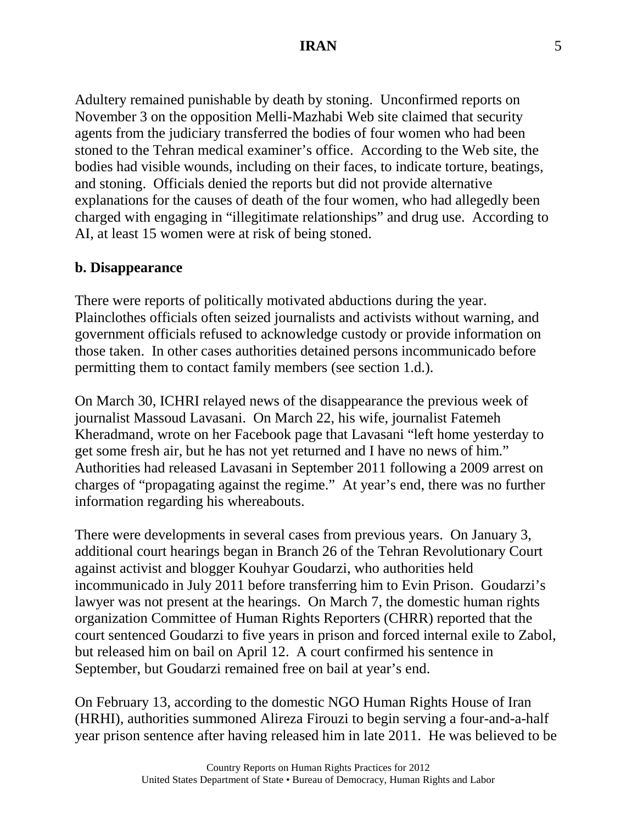Adultery remained punishable by death by stoning. Unconfirmed reports on November 3 on the opposition Melli-Mazhabi Web site claimed that security agents from the judiciary transferred the bodies of four women who had been stoned to the Tehran medical examiner's office. According to the Web site, the bodies had visible wounds, including on their faces, to indicate torture, beatings, and stoning. Officials denied the reports but did not provide alternative explanations for the causes of death of the four women, who had allegedly been charged with engaging in "illegitimate relationships" and drug use. According to AI, at least 15 women were at risk of being stoned.

#### **b. Disappearance**

There were reports of politically motivated abductions during the year. Plainclothes officials often seized journalists and activists without warning, and government officials refused to acknowledge custody or provide information on those taken. In other cases authorities detained persons incommunicado before permitting them to contact family members (see section 1.d.).

On March 30, ICHRI relayed news of the disappearance the previous week of journalist Massoud Lavasani. On March 22, his wife, journalist Fatemeh Kheradmand, wrote on her Facebook page that Lavasani "left home yesterday to get some fresh air, but he has not yet returned and I have no news of him." Authorities had released Lavasani in September 2011 following a 2009 arrest on charges of "propagating against the regime." At year's end, there was no further information regarding his whereabouts.

There were developments in several cases from previous years. On January 3, additional court hearings began in Branch 26 of the Tehran Revolutionary Court against activist and blogger Kouhyar Goudarzi, who authorities held incommunicado in July 2011 before transferring him to Evin Prison. Goudarzi's lawyer was not present at the hearings. On March 7, the domestic human rights organization Committee of Human Rights Reporters (CHRR) reported that the court sentenced Goudarzi to five years in prison and forced internal exile to Zabol, but released him on bail on April 12. A court confirmed his sentence in September, but Goudarzi remained free on bail at year's end.

On February 13, according to the domestic NGO Human Rights House of Iran (HRHI), authorities summoned Alireza Firouzi to begin serving a four-and-a-half year prison sentence after having released him in late 2011. He was believed to be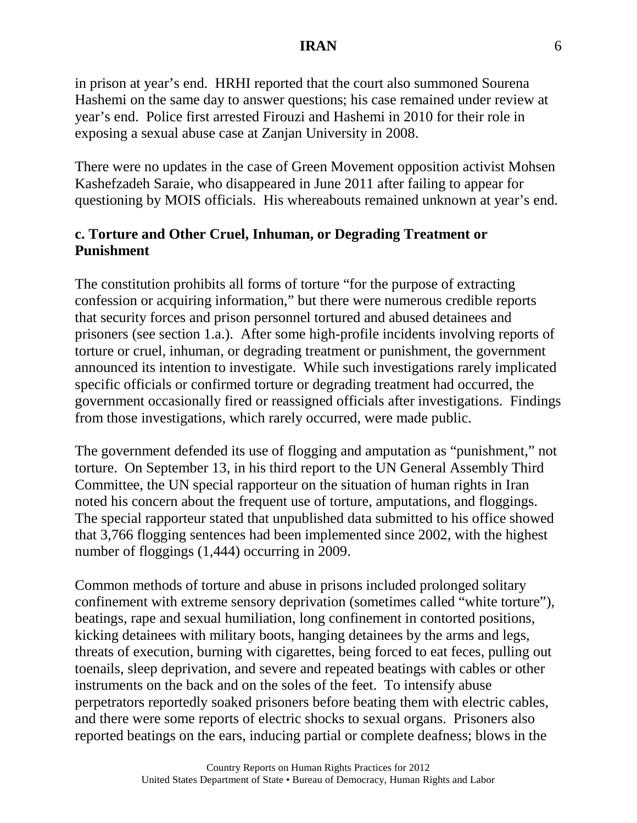in prison at year's end. HRHI reported that the court also summoned Sourena Hashemi on the same day to answer questions; his case remained under review at year's end. Police first arrested Firouzi and Hashemi in 2010 for their role in exposing a sexual abuse case at Zanjan University in 2008.

There were no updates in the case of Green Movement opposition activist Mohsen Kashefzadeh Saraie, who disappeared in June 2011 after failing to appear for questioning by MOIS officials. His whereabouts remained unknown at year's end.

# **c. Torture and Other Cruel, Inhuman, or Degrading Treatment or Punishment**

The constitution prohibits all forms of torture "for the purpose of extracting confession or acquiring information," but there were numerous credible reports that security forces and prison personnel tortured and abused detainees and prisoners (see section 1.a.). After some high-profile incidents involving reports of torture or cruel, inhuman, or degrading treatment or punishment, the government announced its intention to investigate. While such investigations rarely implicated specific officials or confirmed torture or degrading treatment had occurred, the government occasionally fired or reassigned officials after investigations. Findings from those investigations, which rarely occurred, were made public.

The government defended its use of flogging and amputation as "punishment," not torture. On September 13, in his third report to the UN General Assembly Third Committee, the UN special rapporteur on the situation of human rights in Iran noted his concern about the frequent use of torture, amputations, and floggings. The special rapporteur stated that unpublished data submitted to his office showed that 3,766 flogging sentences had been implemented since 2002, with the highest number of floggings (1,444) occurring in 2009.

Common methods of torture and abuse in prisons included prolonged solitary confinement with extreme sensory deprivation (sometimes called "white torture"), beatings, rape and sexual humiliation, long confinement in contorted positions, kicking detainees with military boots, hanging detainees by the arms and legs, threats of execution, burning with cigarettes, being forced to eat feces, pulling out toenails, sleep deprivation, and severe and repeated beatings with cables or other instruments on the back and on the soles of the feet. To intensify abuse perpetrators reportedly soaked prisoners before beating them with electric cables, and there were some reports of electric shocks to sexual organs. Prisoners also reported beatings on the ears, inducing partial or complete deafness; blows in the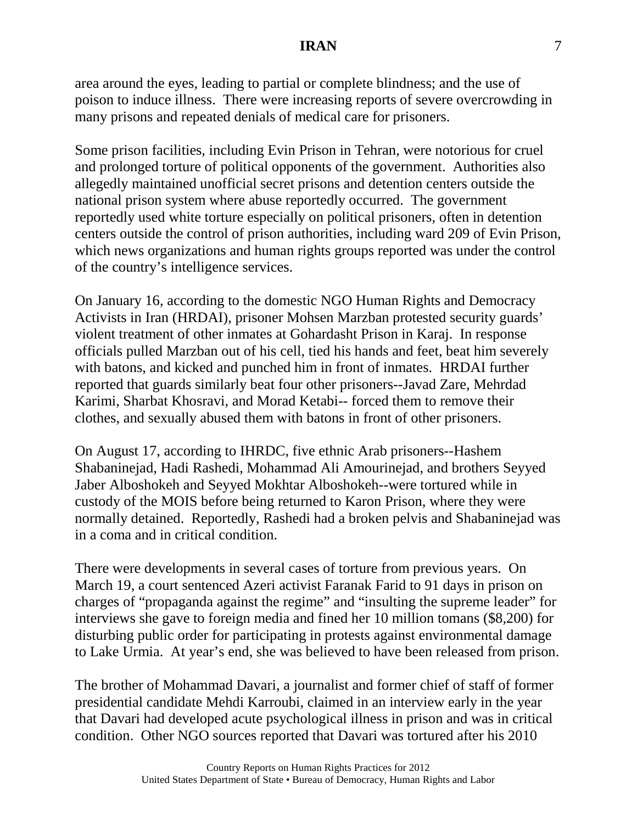area around the eyes, leading to partial or complete blindness; and the use of poison to induce illness. There were increasing reports of severe overcrowding in many prisons and repeated denials of medical care for prisoners.

Some prison facilities, including Evin Prison in Tehran, were notorious for cruel and prolonged torture of political opponents of the government. Authorities also allegedly maintained unofficial secret prisons and detention centers outside the national prison system where abuse reportedly occurred. The government reportedly used white torture especially on political prisoners, often in detention centers outside the control of prison authorities, including ward 209 of Evin Prison, which news organizations and human rights groups reported was under the control of the country's intelligence services.

On January 16, according to the domestic NGO Human Rights and Democracy Activists in Iran (HRDAI), prisoner Mohsen Marzban protested security guards' violent treatment of other inmates at Gohardasht Prison in Karaj. In response officials pulled Marzban out of his cell, tied his hands and feet, beat him severely with batons, and kicked and punched him in front of inmates. HRDAI further reported that guards similarly beat four other prisoners--Javad Zare, Mehrdad Karimi, Sharbat Khosravi, and Morad Ketabi-- forced them to remove their clothes, and sexually abused them with batons in front of other prisoners.

On August 17, according to IHRDC, five ethnic Arab prisoners--Hashem Shabaninejad, Hadi Rashedi, Mohammad Ali Amourinejad, and brothers Seyyed Jaber Alboshokeh and Seyyed Mokhtar Alboshokeh--were tortured while in custody of the MOIS before being returned to Karon Prison, where they were normally detained. Reportedly, Rashedi had a broken pelvis and Shabaninejad was in a coma and in critical condition.

There were developments in several cases of torture from previous years. On March 19, a court sentenced Azeri activist Faranak Farid to 91 days in prison on charges of "propaganda against the regime" and "insulting the supreme leader" for interviews she gave to foreign media and fined her 10 million tomans (\$8,200) for disturbing public order for participating in protests against environmental damage to Lake Urmia. At year's end, she was believed to have been released from prison.

The brother of Mohammad Davari, a journalist and former chief of staff of former presidential candidate Mehdi Karroubi, claimed in an interview early in the year that Davari had developed acute psychological illness in prison and was in critical condition. Other NGO sources reported that Davari was tortured after his 2010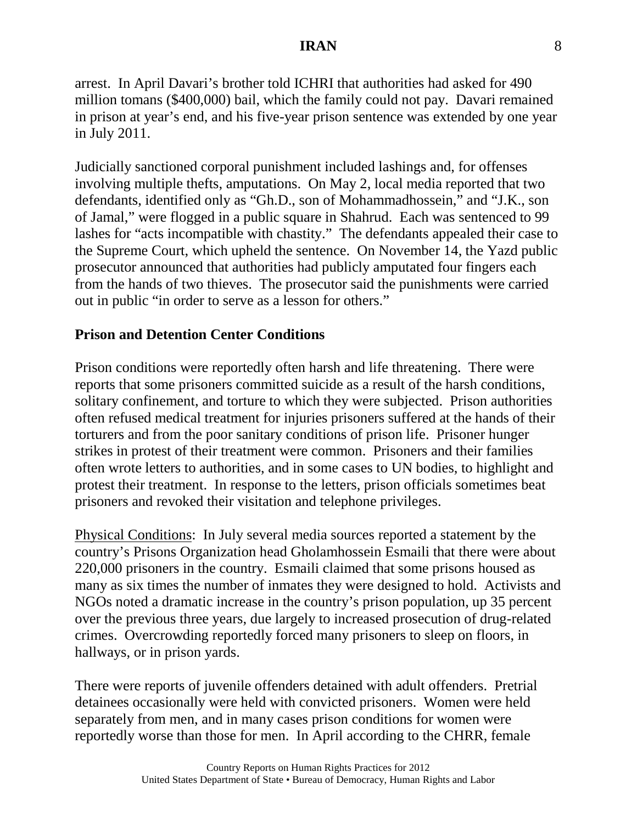arrest. In April Davari's brother told ICHRI that authorities had asked for 490 million tomans (\$400,000) bail, which the family could not pay. Davari remained in prison at year's end, and his five-year prison sentence was extended by one year in July 2011.

Judicially sanctioned corporal punishment included lashings and, for offenses involving multiple thefts, amputations. On May 2, local media reported that two defendants, identified only as "Gh.D., son of Mohammadhossein," and "J.K., son of Jamal," were flogged in a public square in Shahrud. Each was sentenced to 99 lashes for "acts incompatible with chastity." The defendants appealed their case to the Supreme Court, which upheld the sentence. On November 14, the Yazd public prosecutor announced that authorities had publicly amputated four fingers each from the hands of two thieves. The prosecutor said the punishments were carried out in public "in order to serve as a lesson for others."

### **Prison and Detention Center Conditions**

Prison conditions were reportedly often harsh and life threatening. There were reports that some prisoners committed suicide as a result of the harsh conditions, solitary confinement, and torture to which they were subjected. Prison authorities often refused medical treatment for injuries prisoners suffered at the hands of their torturers and from the poor sanitary conditions of prison life. Prisoner hunger strikes in protest of their treatment were common. Prisoners and their families often wrote letters to authorities, and in some cases to UN bodies, to highlight and protest their treatment. In response to the letters, prison officials sometimes beat prisoners and revoked their visitation and telephone privileges.

Physical Conditions: In July several media sources reported a statement by the country's Prisons Organization head Gholamhossein Esmaili that there were about 220,000 prisoners in the country. Esmaili claimed that some prisons housed as many as six times the number of inmates they were designed to hold. Activists and NGOs noted a dramatic increase in the country's prison population, up 35 percent over the previous three years, due largely to increased prosecution of drug-related crimes. Overcrowding reportedly forced many prisoners to sleep on floors, in hallways, or in prison yards.

There were reports of juvenile offenders detained with adult offenders. Pretrial detainees occasionally were held with convicted prisoners. Women were held separately from men, and in many cases prison conditions for women were reportedly worse than those for men. In April according to the CHRR, female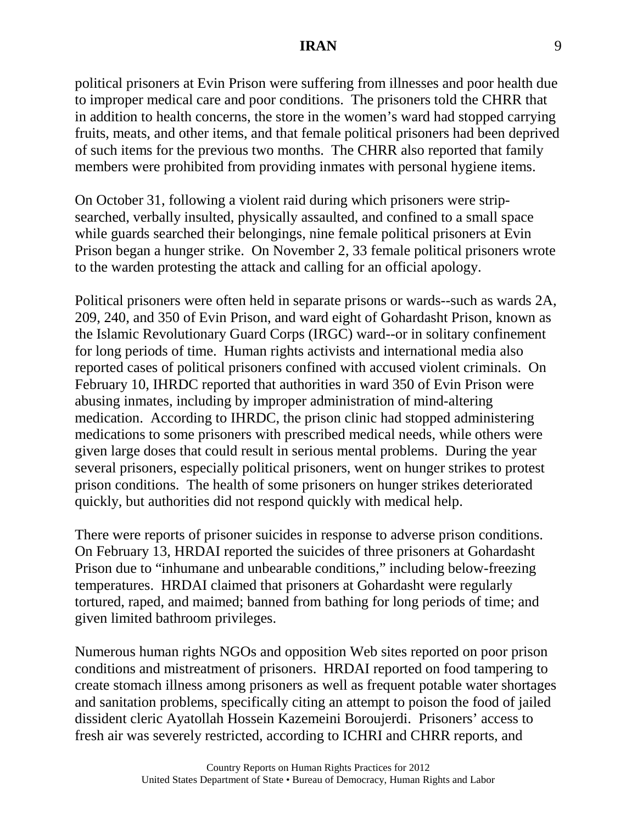political prisoners at Evin Prison were suffering from illnesses and poor health due to improper medical care and poor conditions. The prisoners told the CHRR that in addition to health concerns, the store in the women's ward had stopped carrying fruits, meats, and other items, and that female political prisoners had been deprived of such items for the previous two months. The CHRR also reported that family members were prohibited from providing inmates with personal hygiene items.

On October 31, following a violent raid during which prisoners were stripsearched, verbally insulted, physically assaulted, and confined to a small space while guards searched their belongings, nine female political prisoners at Evin Prison began a hunger strike. On November 2, 33 female political prisoners wrote to the warden protesting the attack and calling for an official apology.

Political prisoners were often held in separate prisons or wards--such as wards 2A, 209, 240, and 350 of Evin Prison, and ward eight of Gohardasht Prison, known as the Islamic Revolutionary Guard Corps (IRGC) ward--or in solitary confinement for long periods of time. Human rights activists and international media also reported cases of political prisoners confined with accused violent criminals. On February 10, IHRDC reported that authorities in ward 350 of Evin Prison were abusing inmates, including by improper administration of mind-altering medication. According to IHRDC, the prison clinic had stopped administering medications to some prisoners with prescribed medical needs, while others were given large doses that could result in serious mental problems. During the year several prisoners, especially political prisoners, went on hunger strikes to protest prison conditions. The health of some prisoners on hunger strikes deteriorated quickly, but authorities did not respond quickly with medical help.

There were reports of prisoner suicides in response to adverse prison conditions. On February 13, HRDAI reported the suicides of three prisoners at Gohardasht Prison due to "inhumane and unbearable conditions," including below-freezing temperatures. HRDAI claimed that prisoners at Gohardasht were regularly tortured, raped, and maimed; banned from bathing for long periods of time; and given limited bathroom privileges.

Numerous human rights NGOs and opposition Web sites reported on poor prison conditions and mistreatment of prisoners. HRDAI reported on food tampering to create stomach illness among prisoners as well as frequent potable water shortages and sanitation problems, specifically citing an attempt to poison the food of jailed dissident cleric Ayatollah Hossein Kazemeini Boroujerdi. Prisoners' access to fresh air was severely restricted, according to ICHRI and CHRR reports, and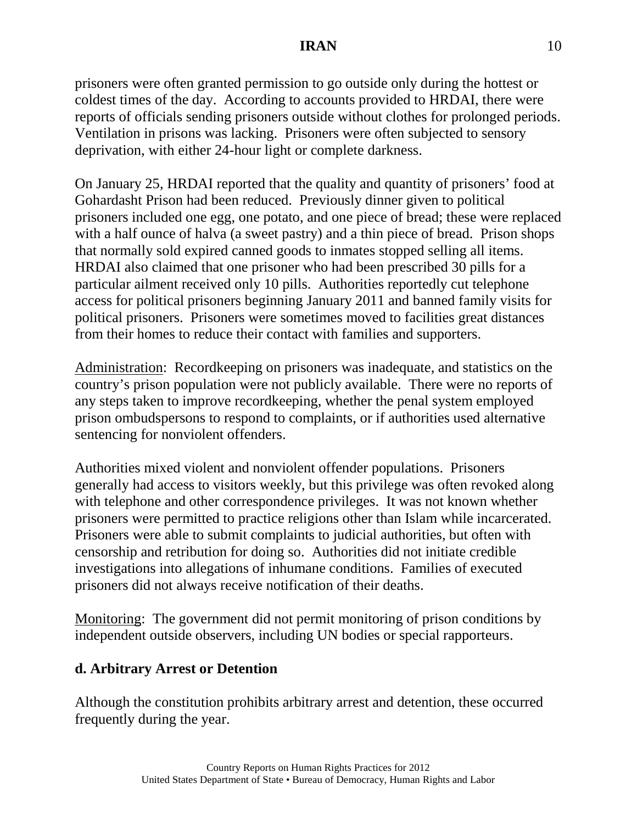prisoners were often granted permission to go outside only during the hottest or coldest times of the day. According to accounts provided to HRDAI, there were reports of officials sending prisoners outside without clothes for prolonged periods. Ventilation in prisons was lacking. Prisoners were often subjected to sensory deprivation, with either 24-hour light or complete darkness.

On January 25, HRDAI reported that the quality and quantity of prisoners' food at Gohardasht Prison had been reduced. Previously dinner given to political prisoners included one egg, one potato, and one piece of bread; these were replaced with a half ounce of halva (a sweet pastry) and a thin piece of bread. Prison shops that normally sold expired canned goods to inmates stopped selling all items. HRDAI also claimed that one prisoner who had been prescribed 30 pills for a particular ailment received only 10 pills. Authorities reportedly cut telephone access for political prisoners beginning January 2011 and banned family visits for political prisoners. Prisoners were sometimes moved to facilities great distances from their homes to reduce their contact with families and supporters.

Administration: Recordkeeping on prisoners was inadequate, and statistics on the country's prison population were not publicly available. There were no reports of any steps taken to improve recordkeeping, whether the penal system employed prison ombudspersons to respond to complaints, or if authorities used alternative sentencing for nonviolent offenders.

Authorities mixed violent and nonviolent offender populations. Prisoners generally had access to visitors weekly, but this privilege was often revoked along with telephone and other correspondence privileges. It was not known whether prisoners were permitted to practice religions other than Islam while incarcerated. Prisoners were able to submit complaints to judicial authorities, but often with censorship and retribution for doing so. Authorities did not initiate credible investigations into allegations of inhumane conditions. Families of executed prisoners did not always receive notification of their deaths.

Monitoring: The government did not permit monitoring of prison conditions by independent outside observers, including UN bodies or special rapporteurs.

# **d. Arbitrary Arrest or Detention**

Although the constitution prohibits arbitrary arrest and detention, these occurred frequently during the year.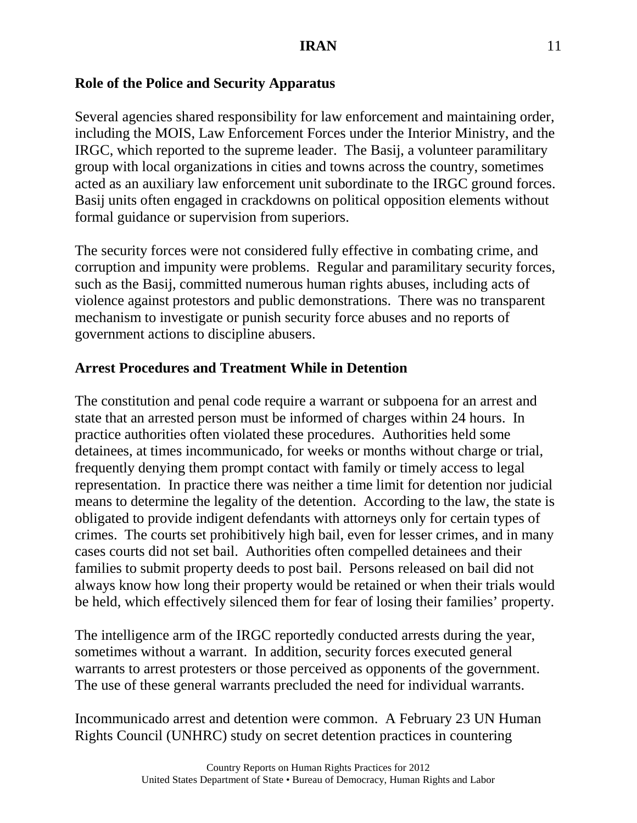### **Role of the Police and Security Apparatus**

Several agencies shared responsibility for law enforcement and maintaining order, including the MOIS, Law Enforcement Forces under the Interior Ministry, and the IRGC, which reported to the supreme leader. The Basij, a volunteer paramilitary group with local organizations in cities and towns across the country, sometimes acted as an auxiliary law enforcement unit subordinate to the IRGC ground forces. Basij units often engaged in crackdowns on political opposition elements without formal guidance or supervision from superiors.

The security forces were not considered fully effective in combating crime, and corruption and impunity were problems. Regular and paramilitary security forces, such as the Basij, committed numerous human rights abuses, including acts of violence against protestors and public demonstrations. There was no transparent mechanism to investigate or punish security force abuses and no reports of government actions to discipline abusers.

#### **Arrest Procedures and Treatment While in Detention**

The constitution and penal code require a warrant or subpoena for an arrest and state that an arrested person must be informed of charges within 24 hours. In practice authorities often violated these procedures. Authorities held some detainees, at times incommunicado, for weeks or months without charge or trial, frequently denying them prompt contact with family or timely access to legal representation. In practice there was neither a time limit for detention nor judicial means to determine the legality of the detention. According to the law, the state is obligated to provide indigent defendants with attorneys only for certain types of crimes. The courts set prohibitively high bail, even for lesser crimes, and in many cases courts did not set bail. Authorities often compelled detainees and their families to submit property deeds to post bail. Persons released on bail did not always know how long their property would be retained or when their trials would be held, which effectively silenced them for fear of losing their families' property.

The intelligence arm of the IRGC reportedly conducted arrests during the year, sometimes without a warrant. In addition, security forces executed general warrants to arrest protesters or those perceived as opponents of the government. The use of these general warrants precluded the need for individual warrants.

Incommunicado arrest and detention were common. A February 23 UN Human Rights Council (UNHRC) study on secret detention practices in countering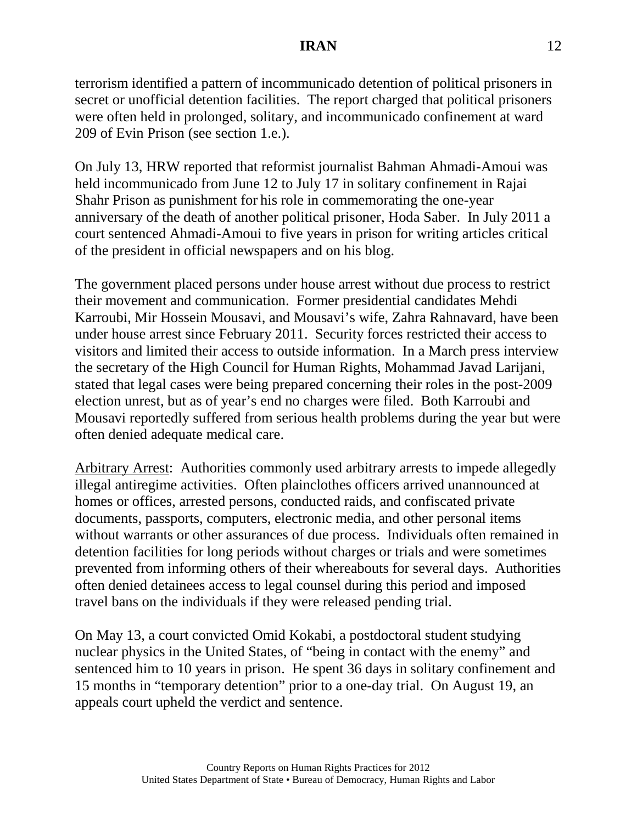terrorism identified a pattern of incommunicado detention of political prisoners in secret or unofficial detention facilities. The report charged that political prisoners were often held in prolonged, solitary, and incommunicado confinement at ward 209 of Evin Prison (see section 1.e.).

On July 13, HRW reported that reformist journalist Bahman Ahmadi-Amoui was held incommunicado from June 12 to July 17 in solitary confinement in Rajai Shahr Prison as punishment for his role in commemorating the one-year anniversary of the death of another political prisoner, Hoda Saber. In July 2011 a court sentenced Ahmadi-Amoui to five years in prison for writing articles critical of the president in official newspapers and on his blog.

The government placed persons under house arrest without due process to restrict their movement and communication. Former presidential candidates Mehdi Karroubi, Mir Hossein Mousavi, and Mousavi's wife, Zahra Rahnavard, have been under house arrest since February 2011. Security forces restricted their access to visitors and limited their access to outside information. In a March press interview the secretary of the High Council for Human Rights, Mohammad Javad Larijani, stated that legal cases were being prepared concerning their roles in the post-2009 election unrest, but as of year's end no charges were filed. Both Karroubi and Mousavi reportedly suffered from serious health problems during the year but were often denied adequate medical care.

Arbitrary Arrest: Authorities commonly used arbitrary arrests to impede allegedly illegal antiregime activities. Often plainclothes officers arrived unannounced at homes or offices, arrested persons, conducted raids, and confiscated private documents, passports, computers, electronic media, and other personal items without warrants or other assurances of due process. Individuals often remained in detention facilities for long periods without charges or trials and were sometimes prevented from informing others of their whereabouts for several days. Authorities often denied detainees access to legal counsel during this period and imposed travel bans on the individuals if they were released pending trial.

On May 13, a court convicted Omid Kokabi, a postdoctoral student studying nuclear physics in the United States, of "being in contact with the enemy" and sentenced him to 10 years in prison. He spent 36 days in solitary confinement and 15 months in "temporary detention" prior to a one-day trial. On August 19, an appeals court upheld the verdict and sentence.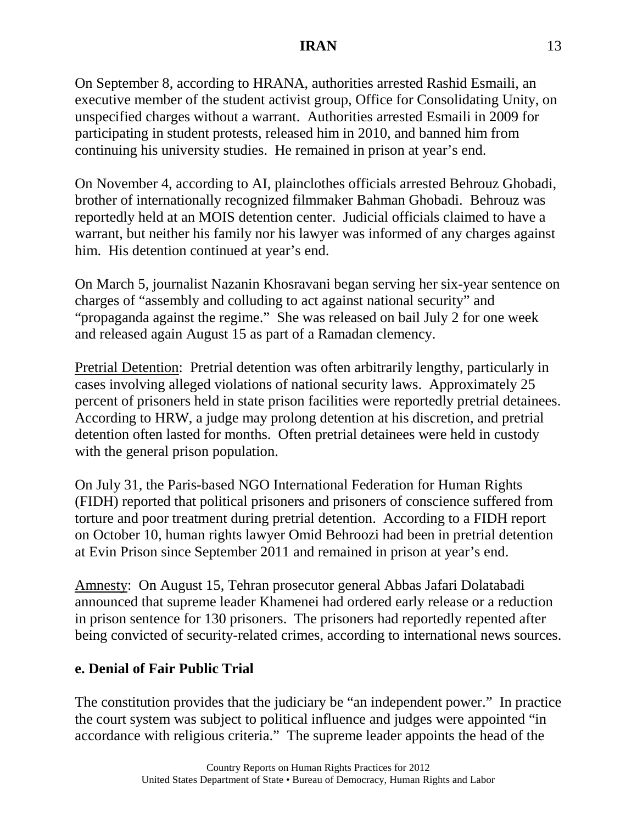On September 8, according to HRANA, authorities arrested Rashid Esmaili, an executive member of the student activist group, Office for Consolidating Unity, on unspecified charges without a warrant. Authorities arrested Esmaili in 2009 for participating in student protests, released him in 2010, and banned him from continuing his university studies. He remained in prison at year's end.

On November 4, according to AI, plainclothes officials arrested Behrouz Ghobadi, brother of internationally recognized filmmaker Bahman Ghobadi. Behrouz was reportedly held at an MOIS detention center. Judicial officials claimed to have a warrant, but neither his family nor his lawyer was informed of any charges against him. His detention continued at year's end.

On March 5, journalist Nazanin Khosravani began serving her six-year sentence on charges of "assembly and colluding to act against national security" and "propaganda against the regime." She was released on bail July 2 for one week and released again August 15 as part of a Ramadan clemency.

Pretrial Detention: Pretrial detention was often arbitrarily lengthy, particularly in cases involving alleged violations of national security laws. Approximately 25 percent of prisoners held in state prison facilities were reportedly pretrial detainees. According to HRW, a judge may prolong detention at his discretion, and pretrial detention often lasted for months. Often pretrial detainees were held in custody with the general prison population.

On July 31, the Paris-based NGO International Federation for Human Rights (FIDH) reported that political prisoners and prisoners of conscience suffered from torture and poor treatment during pretrial detention. According to a FIDH report on October 10, human rights lawyer Omid Behroozi had been in pretrial detention at Evin Prison since September 2011 and remained in prison at year's end.

Amnesty: On August 15, Tehran prosecutor general Abbas Jafari Dolatabadi announced that supreme leader Khamenei had ordered early release or a reduction in prison sentence for 130 prisoners. The prisoners had reportedly repented after being convicted of security-related crimes, according to international news sources.

# **e. Denial of Fair Public Trial**

The constitution provides that the judiciary be "an independent power." In practice the court system was subject to political influence and judges were appointed "in accordance with religious criteria." The supreme leader appoints the head of the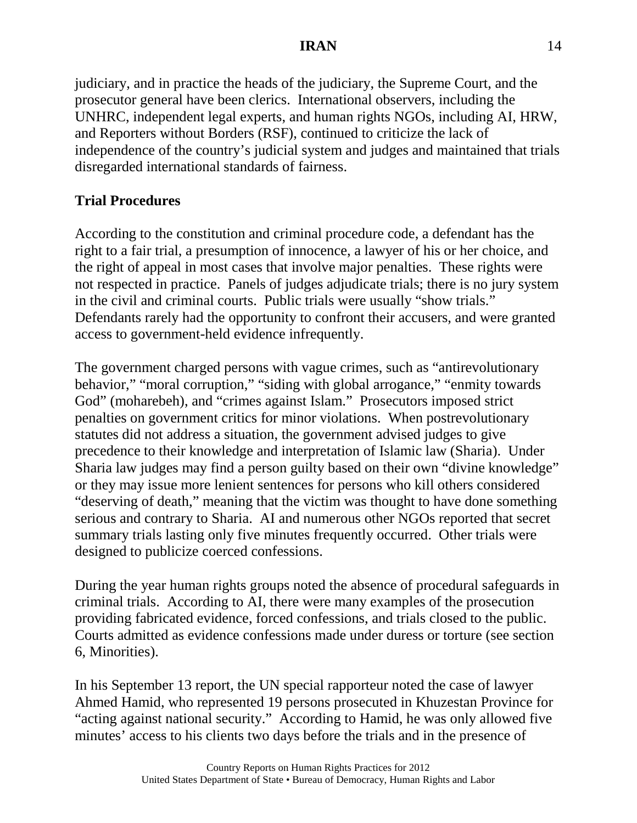judiciary, and in practice the heads of the judiciary, the Supreme Court, and the prosecutor general have been clerics. International observers, including the UNHRC, independent legal experts, and human rights NGOs, including AI, HRW, and Reporters without Borders (RSF), continued to criticize the lack of independence of the country's judicial system and judges and maintained that trials disregarded international standards of fairness.

### **Trial Procedures**

According to the constitution and criminal procedure code, a defendant has the right to a fair trial, a presumption of innocence, a lawyer of his or her choice, and the right of appeal in most cases that involve major penalties. These rights were not respected in practice. Panels of judges adjudicate trials; there is no jury system in the civil and criminal courts. Public trials were usually "show trials." Defendants rarely had the opportunity to confront their accusers, and were granted access to government-held evidence infrequently.

The government charged persons with vague crimes, such as "antirevolutionary behavior," "moral corruption," "siding with global arrogance," "enmity towards God" (moharebeh), and "crimes against Islam." Prosecutors imposed strict penalties on government critics for minor violations. When postrevolutionary statutes did not address a situation, the government advised judges to give precedence to their knowledge and interpretation of Islamic law (Sharia). Under Sharia law judges may find a person guilty based on their own "divine knowledge" or they may issue more lenient sentences for persons who kill others considered "deserving of death," meaning that the victim was thought to have done something serious and contrary to Sharia. AI and numerous other NGOs reported that secret summary trials lasting only five minutes frequently occurred. Other trials were designed to publicize coerced confessions.

During the year human rights groups noted the absence of procedural safeguards in criminal trials. According to AI, there were many examples of the prosecution providing fabricated evidence, forced confessions, and trials closed to the public. Courts admitted as evidence confessions made under duress or torture (see section 6, Minorities).

In his September 13 report, the UN special rapporteur noted the case of lawyer Ahmed Hamid, who represented 19 persons prosecuted in Khuzestan Province for "acting against national security." According to Hamid, he was only allowed five minutes' access to his clients two days before the trials and in the presence of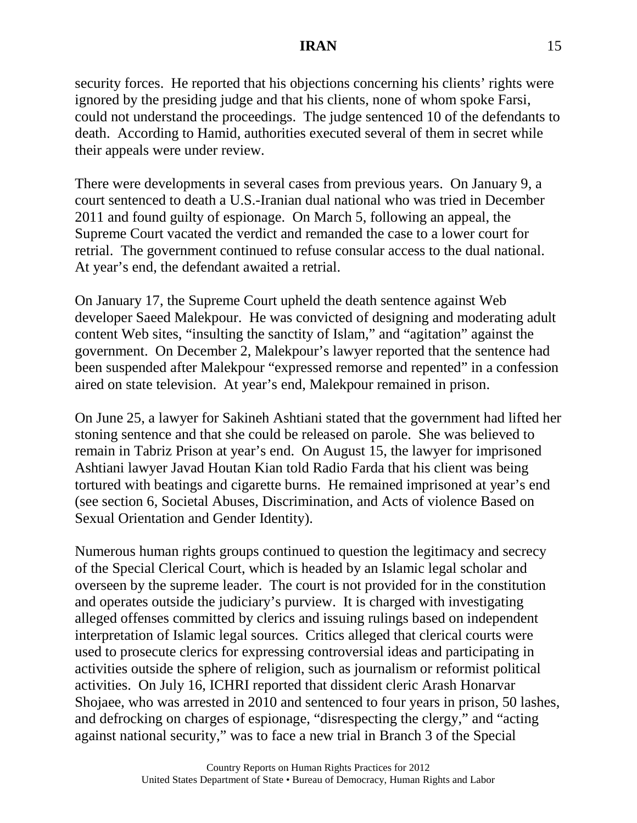security forces. He reported that his objections concerning his clients' rights were ignored by the presiding judge and that his clients, none of whom spoke Farsi, could not understand the proceedings. The judge sentenced 10 of the defendants to death. According to Hamid, authorities executed several of them in secret while their appeals were under review.

There were developments in several cases from previous years. On January 9, a court sentenced to death a U.S.-Iranian dual national who was tried in December 2011 and found guilty of espionage. On March 5, following an appeal, the Supreme Court vacated the verdict and remanded the case to a lower court for retrial. The government continued to refuse consular access to the dual national. At year's end, the defendant awaited a retrial.

On January 17, the Supreme Court upheld the death sentence against Web developer Saeed Malekpour. He was convicted of designing and moderating adult content Web sites, "insulting the sanctity of Islam," and "agitation" against the government. On December 2, Malekpour's lawyer reported that the sentence had been suspended after Malekpour "expressed remorse and repented" in a confession aired on state television. At year's end, Malekpour remained in prison.

On June 25, a lawyer for Sakineh Ashtiani stated that the government had lifted her stoning sentence and that she could be released on parole. She was believed to remain in Tabriz Prison at year's end. On August 15, the lawyer for imprisoned Ashtiani lawyer Javad Houtan Kian told Radio Farda that his client was being tortured with beatings and cigarette burns. He remained imprisoned at year's end (see section 6, Societal Abuses, Discrimination, and Acts of violence Based on Sexual Orientation and Gender Identity).

Numerous human rights groups continued to question the legitimacy and secrecy of the Special Clerical Court, which is headed by an Islamic legal scholar and overseen by the supreme leader. The court is not provided for in the constitution and operates outside the judiciary's purview. It is charged with investigating alleged offenses committed by clerics and issuing rulings based on independent interpretation of Islamic legal sources. Critics alleged that clerical courts were used to prosecute clerics for expressing controversial ideas and participating in activities outside the sphere of religion, such as journalism or reformist political activities. On July 16, ICHRI reported that dissident cleric Arash Honarvar Shojaee, who was arrested in 2010 and sentenced to four years in prison, 50 lashes, and defrocking on charges of espionage, "disrespecting the clergy," and "acting against national security," was to face a new trial in Branch 3 of the Special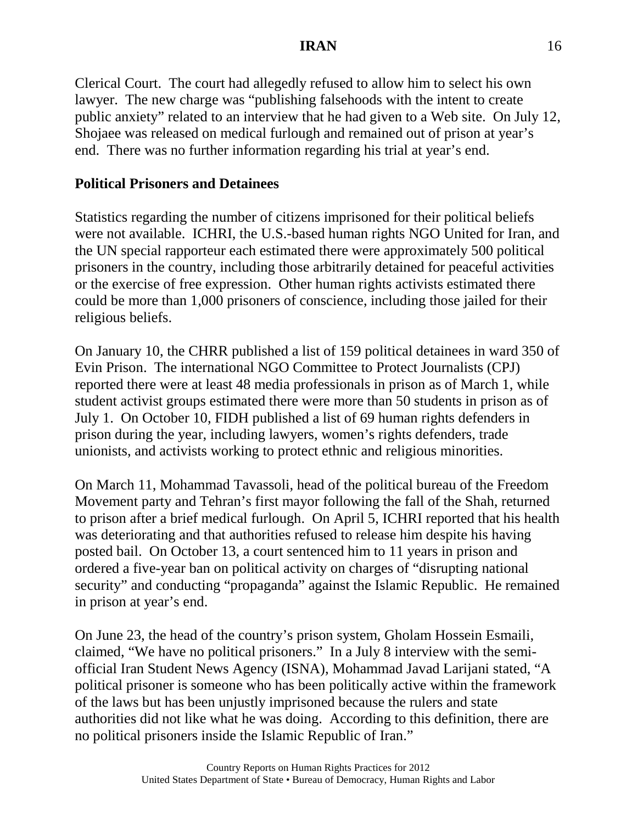Clerical Court. The court had allegedly refused to allow him to select his own lawyer. The new charge was "publishing falsehoods with the intent to create public anxiety" related to an interview that he had given to a Web site. On July 12, Shojaee was released on medical furlough and remained out of prison at year's end. There was no further information regarding his trial at year's end.

## **Political Prisoners and Detainees**

Statistics regarding the number of citizens imprisoned for their political beliefs were not available. ICHRI, the U.S.-based human rights NGO United for Iran, and the UN special rapporteur each estimated there were approximately 500 political prisoners in the country, including those arbitrarily detained for peaceful activities or the exercise of free expression. Other human rights activists estimated there could be more than 1,000 prisoners of conscience, including those jailed for their religious beliefs.

On January 10, the CHRR published a list of 159 political detainees in ward 350 of Evin Prison. The international NGO Committee to Protect Journalists (CPJ) reported there were at least 48 media professionals in prison as of March 1, while student activist groups estimated there were more than 50 students in prison as of July 1. On October 10, FIDH published a list of 69 human rights defenders in prison during the year, including lawyers, women's rights defenders, trade unionists, and activists working to protect ethnic and religious minorities.

On March 11, Mohammad Tavassoli, head of the political bureau of the Freedom Movement party and Tehran's first mayor following the fall of the Shah, returned to prison after a brief medical furlough. On April 5, ICHRI reported that his health was deteriorating and that authorities refused to release him despite his having posted bail. On October 13, a court sentenced him to 11 years in prison and ordered a five-year ban on political activity on charges of "disrupting national security" and conducting "propaganda" against the Islamic Republic. He remained in prison at year's end.

On June 23, the head of the country's prison system, Gholam Hossein Esmaili, claimed, "We have no political prisoners." In a July 8 interview with the semiofficial Iran Student News Agency (ISNA), Mohammad Javad Larijani stated, "A political prisoner is someone who has been politically active within the framework of the laws but has been unjustly imprisoned because the rulers and state authorities did not like what he was doing. According to this definition, there are no political prisoners inside the Islamic Republic of Iran."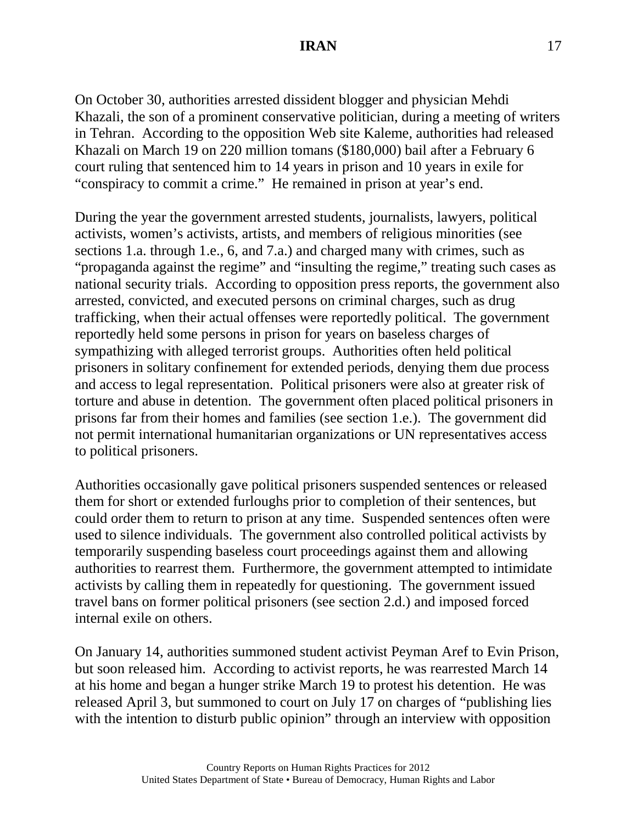On October 30, authorities arrested dissident blogger and physician Mehdi Khazali, the son of a prominent conservative politician, during a meeting of writers in Tehran. According to the opposition Web site Kaleme, authorities had released Khazali on March 19 on 220 million tomans (\$180,000) bail after a February 6 court ruling that sentenced him to 14 years in prison and 10 years in exile for "conspiracy to commit a crime." He remained in prison at year's end.

During the year the government arrested students, journalists, lawyers, political activists, women's activists, artists, and members of religious minorities (see sections 1.a. through 1.e., 6, and 7.a.) and charged many with crimes, such as "propaganda against the regime" and "insulting the regime," treating such cases as national security trials. According to opposition press reports, the government also arrested, convicted, and executed persons on criminal charges, such as drug trafficking, when their actual offenses were reportedly political. The government reportedly held some persons in prison for years on baseless charges of sympathizing with alleged terrorist groups. Authorities often held political prisoners in solitary confinement for extended periods, denying them due process and access to legal representation. Political prisoners were also at greater risk of torture and abuse in detention. The government often placed political prisoners in prisons far from their homes and families (see section 1.e.). The government did not permit international humanitarian organizations or UN representatives access to political prisoners.

Authorities occasionally gave political prisoners suspended sentences or released them for short or extended furloughs prior to completion of their sentences, but could order them to return to prison at any time. Suspended sentences often were used to silence individuals. The government also controlled political activists by temporarily suspending baseless court proceedings against them and allowing authorities to rearrest them. Furthermore, the government attempted to intimidate activists by calling them in repeatedly for questioning. The government issued travel bans on former political prisoners (see section 2.d.) and imposed forced internal exile on others.

On January 14, authorities summoned student activist Peyman Aref to Evin Prison, but soon released him. According to activist reports, he was rearrested March 14 at his home and began a hunger strike March 19 to protest his detention. He was released April 3, but summoned to court on July 17 on charges of "publishing lies with the intention to disturb public opinion" through an interview with opposition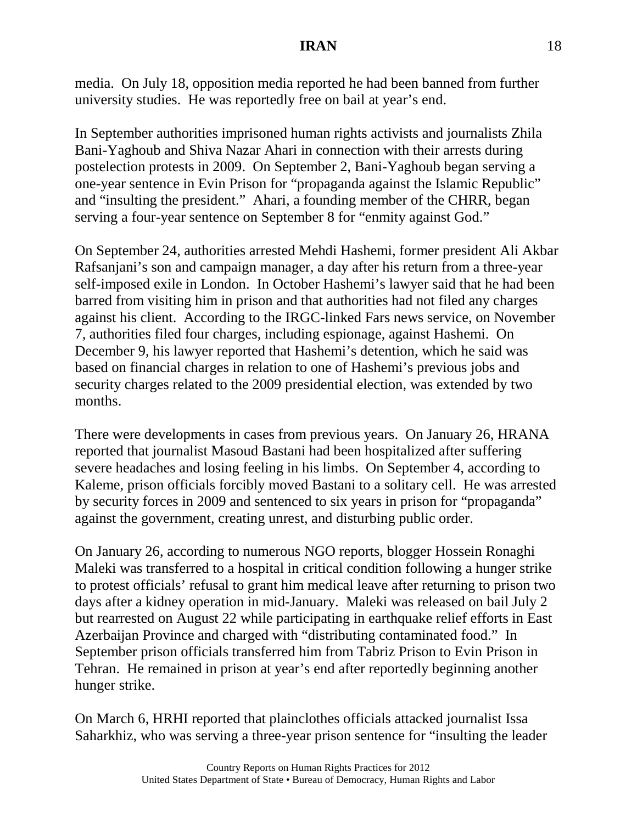media. On July 18, opposition media reported he had been banned from further university studies. He was reportedly free on bail at year's end.

In September authorities imprisoned human rights activists and journalists Zhila Bani-Yaghoub and Shiva Nazar Ahari in connection with their arrests during postelection protests in 2009. On September 2, Bani-Yaghoub began serving a one-year sentence in Evin Prison for "propaganda against the Islamic Republic" and "insulting the president." Ahari, a founding member of the CHRR, began serving a four-year sentence on September 8 for "enmity against God."

On September 24, authorities arrested Mehdi Hashemi, former president Ali Akbar Rafsanjani's son and campaign manager, a day after his return from a three-year self-imposed exile in London. In October Hashemi's lawyer said that he had been barred from visiting him in prison and that authorities had not filed any charges against his client. According to the IRGC-linked Fars news service, on November 7, authorities filed four charges, including espionage, against Hashemi. On December 9, his lawyer reported that Hashemi's detention, which he said was based on financial charges in relation to one of Hashemi's previous jobs and security charges related to the 2009 presidential election, was extended by two months.

There were developments in cases from previous years. On January 26, HRANA reported that journalist Masoud Bastani had been hospitalized after suffering severe headaches and losing feeling in his limbs. On September 4, according to Kaleme, prison officials forcibly moved Bastani to a solitary cell. He was arrested by security forces in 2009 and sentenced to six years in prison for "propaganda" against the government, creating unrest, and disturbing public order.

On January 26, according to numerous NGO reports, blogger Hossein Ronaghi Maleki was transferred to a hospital in critical condition following a hunger strike to protest officials' refusal to grant him medical leave after returning to prison two days after a kidney operation in mid-January. Maleki was released on bail July 2 but rearrested on August 22 while participating in earthquake relief efforts in East Azerbaijan Province and charged with "distributing contaminated food." In September prison officials transferred him from Tabriz Prison to Evin Prison in Tehran. He remained in prison at year's end after reportedly beginning another hunger strike.

On March 6, HRHI reported that plainclothes officials attacked journalist Issa Saharkhiz, who was serving a three-year prison sentence for "insulting the leader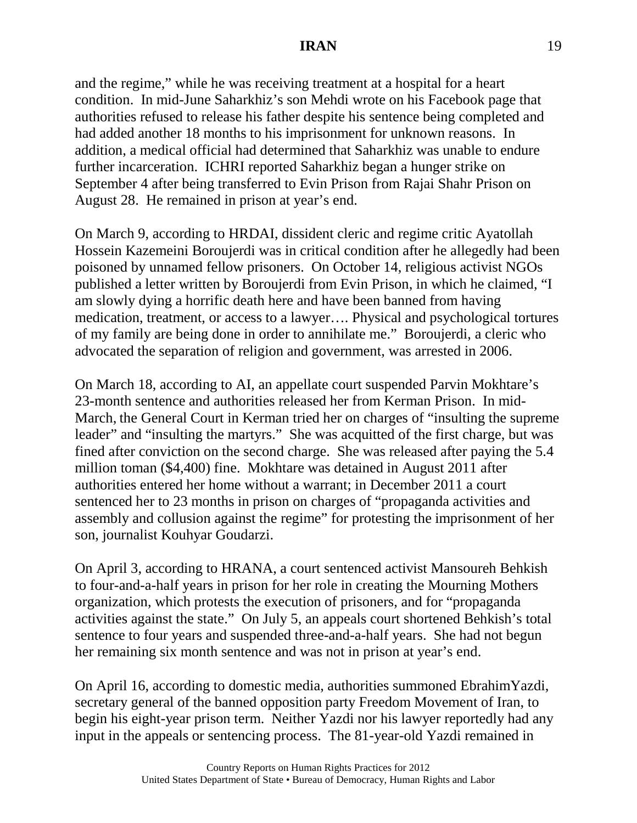and the regime," while he was receiving treatment at a hospital for a heart condition. In mid-June Saharkhiz's son Mehdi wrote on his Facebook page that authorities refused to release his father despite his sentence being completed and had added another 18 months to his imprisonment for unknown reasons. In addition, a medical official had determined that Saharkhiz was unable to endure further incarceration. ICHRI reported Saharkhiz began a hunger strike on September 4 after being transferred to Evin Prison from Rajai Shahr Prison on August 28. He remained in prison at year's end.

On March 9, according to HRDAI, dissident cleric and regime critic Ayatollah Hossein Kazemeini Boroujerdi was in critical condition after he allegedly had been poisoned by unnamed fellow prisoners. On October 14, religious activist NGOs published a letter written by Boroujerdi from Evin Prison, in which he claimed, "I am slowly dying a horrific death here and have been banned from having medication, treatment, or access to a lawyer…. Physical and psychological tortures of my family are being done in order to annihilate me." Boroujerdi, a cleric who advocated the separation of religion and government, was arrested in 2006.

On March 18, according to AI, an appellate court suspended Parvin Mokhtare's 23-month sentence and authorities released her from Kerman Prison. In mid-March, the General Court in Kerman tried her on charges of "insulting the supreme leader" and "insulting the martyrs." She was acquitted of the first charge, but was fined after conviction on the second charge. She was released after paying the 5.4 million toman (\$4,400) fine. Mokhtare was detained in August 2011 after authorities entered her home without a warrant; in December 2011 a court sentenced her to 23 months in prison on charges of "propaganda activities and assembly and collusion against the regime" for protesting the imprisonment of her son, journalist Kouhyar Goudarzi.

On April 3, according to HRANA, a court sentenced activist Mansoureh Behkish to four-and-a-half years in prison for her role in creating the Mourning Mothers organization, which protests the execution of prisoners, and for "propaganda activities against the state." On July 5, an appeals court shortened Behkish's total sentence to four years and suspended three-and-a-half years. She had not begun her remaining six month sentence and was not in prison at year's end.

On April 16, according to domestic media, authorities summoned EbrahimYazdi, secretary general of the banned opposition party Freedom Movement of Iran, to begin his eight-year prison term. Neither Yazdi nor his lawyer reportedly had any input in the appeals or sentencing process. The 81-year-old Yazdi remained in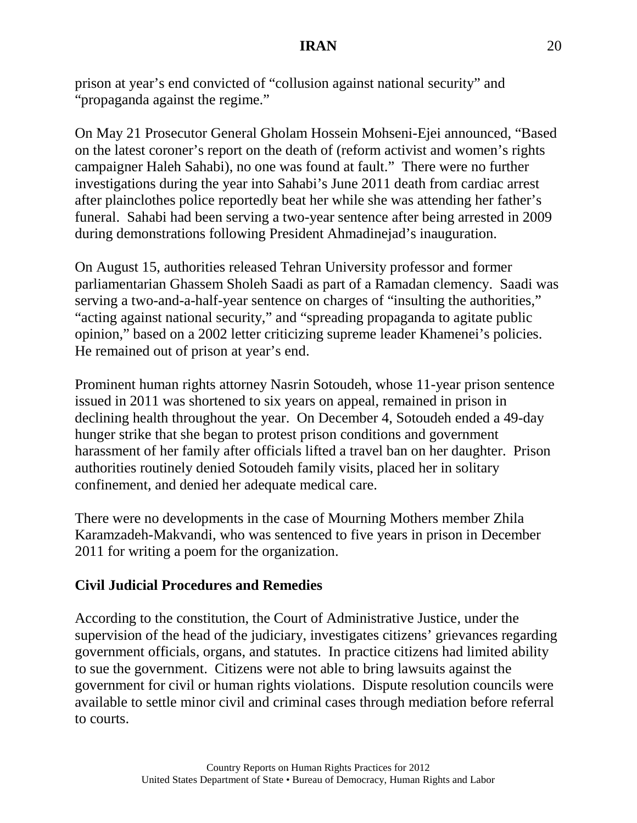prison at year's end convicted of "collusion against national security" and "propaganda against the regime."

On May 21 Prosecutor General Gholam Hossein Mohseni-Ejei announced, "Based on the latest coroner's report on the death of (reform activist and women's rights campaigner Haleh Sahabi), no one was found at fault." There were no further investigations during the year into Sahabi's June 2011 death from cardiac arrest after plainclothes police reportedly beat her while she was attending her father's funeral. Sahabi had been serving a two-year sentence after being arrested in 2009 during demonstrations following President Ahmadinejad's inauguration.

On August 15, authorities released Tehran University professor and former parliamentarian Ghassem Sholeh Saadi as part of a Ramadan clemency. Saadi was serving a two-and-a-half-year sentence on charges of "insulting the authorities," "acting against national security," and "spreading propaganda to agitate public opinion," based on a 2002 letter criticizing supreme leader Khamenei's policies. He remained out of prison at year's end.

Prominent human rights attorney Nasrin Sotoudeh, whose 11-year prison sentence issued in 2011 was shortened to six years on appeal, remained in prison in declining health throughout the year. On December 4, Sotoudeh ended a 49-day hunger strike that she began to protest prison conditions and government harassment of her family after officials lifted a travel ban on her daughter. Prison authorities routinely denied Sotoudeh family visits, placed her in solitary confinement, and denied her adequate medical care.

There were no developments in the case of Mourning Mothers member Zhila Karamzadeh-Makvandi, who was sentenced to five years in prison in December 2011 for writing a poem for the organization.

# **Civil Judicial Procedures and Remedies**

According to the constitution, the Court of Administrative Justice, under the supervision of the head of the judiciary, investigates citizens' grievances regarding government officials, organs, and statutes. In practice citizens had limited ability to sue the government. Citizens were not able to bring lawsuits against the government for civil or human rights violations. Dispute resolution councils were available to settle minor civil and criminal cases through mediation before referral to courts.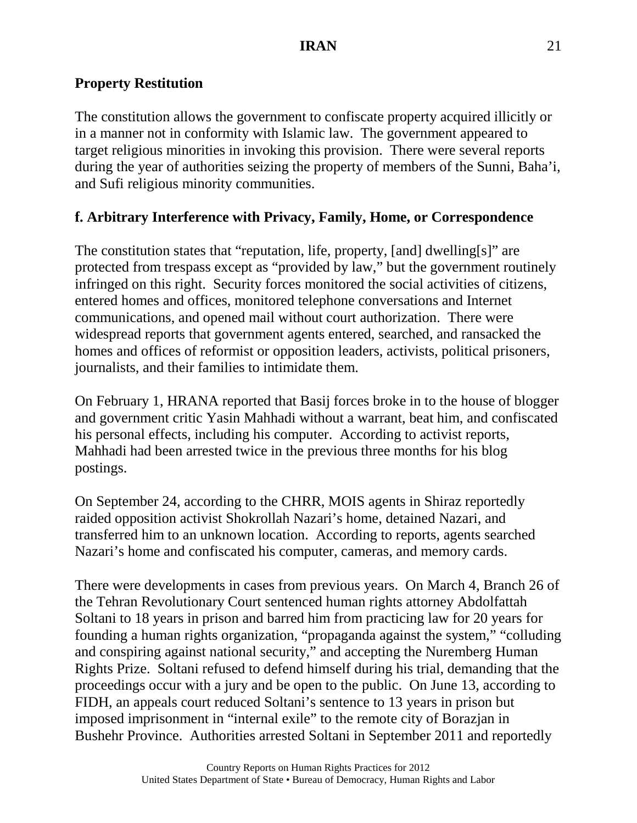## **Property Restitution**

The constitution allows the government to confiscate property acquired illicitly or in a manner not in conformity with Islamic law. The government appeared to target religious minorities in invoking this provision. There were several reports during the year of authorities seizing the property of members of the Sunni, Baha'i, and Sufi religious minority communities.

## **f. Arbitrary Interference with Privacy, Family, Home, or Correspondence**

The constitution states that "reputation, life, property, [and] dwelling[s]" are protected from trespass except as "provided by law," but the government routinely infringed on this right. Security forces monitored the social activities of citizens, entered homes and offices, monitored telephone conversations and Internet communications, and opened mail without court authorization. There were widespread reports that government agents entered, searched, and ransacked the homes and offices of reformist or opposition leaders, activists, political prisoners, journalists, and their families to intimidate them.

On February 1, HRANA reported that Basij forces broke in to the house of blogger and government critic Yasin Mahhadi without a warrant, beat him, and confiscated his personal effects, including his computer. According to activist reports, Mahhadi had been arrested twice in the previous three months for his blog postings.

On September 24, according to the CHRR, MOIS agents in Shiraz reportedly raided opposition activist Shokrollah Nazari's home, detained Nazari, and transferred him to an unknown location. According to reports, agents searched Nazari's home and confiscated his computer, cameras, and memory cards.

There were developments in cases from previous years. On March 4, Branch 26 of the Tehran Revolutionary Court sentenced human rights attorney Abdolfattah Soltani to 18 years in prison and barred him from practicing law for 20 years for founding a human rights organization, "propaganda against the system," "colluding and conspiring against national security," and accepting the Nuremberg Human Rights Prize. Soltani refused to defend himself during his trial, demanding that the proceedings occur with a jury and be open to the public. On June 13, according to FIDH, an appeals court reduced Soltani's sentence to 13 years in prison but imposed imprisonment in "internal exile" to the remote city of Borazjan in Bushehr Province. Authorities arrested Soltani in September 2011 and reportedly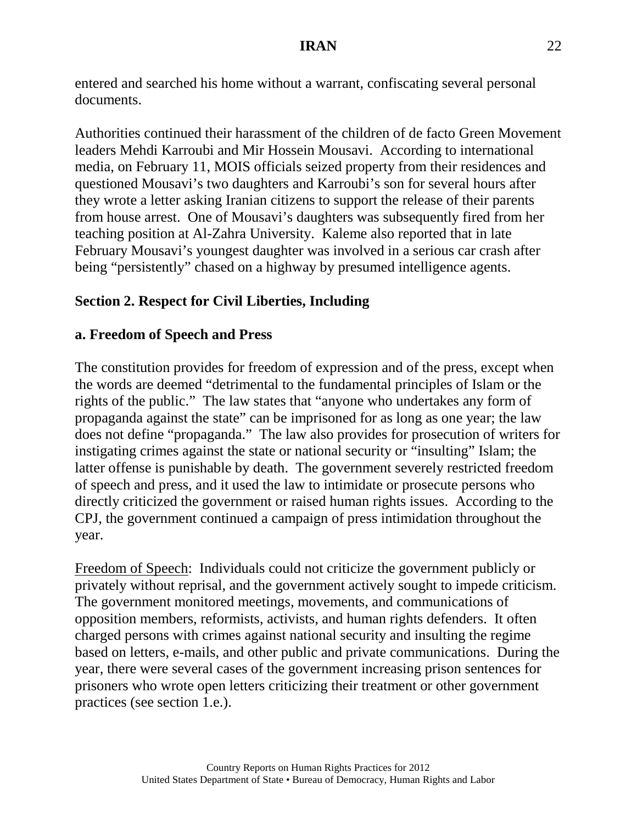entered and searched his home without a warrant, confiscating several personal documents.

Authorities continued their harassment of the children of de facto Green Movement leaders Mehdi Karroubi and Mir Hossein Mousavi. According to international media, on February 11, MOIS officials seized property from their residences and questioned Mousavi's two daughters and Karroubi's son for several hours after they wrote a letter asking Iranian citizens to support the release of their parents from house arrest. One of Mousavi's daughters was subsequently fired from her teaching position at Al-Zahra University. Kaleme also reported that in late February Mousavi's youngest daughter was involved in a serious car crash after being "persistently" chased on a highway by presumed intelligence agents.

## **Section 2. Respect for Civil Liberties, Including**

#### **a. Freedom of Speech and Press**

The constitution provides for freedom of expression and of the press, except when the words are deemed "detrimental to the fundamental principles of Islam or the rights of the public." The law states that "anyone who undertakes any form of propaganda against the state" can be imprisoned for as long as one year; the law does not define "propaganda." The law also provides for prosecution of writers for instigating crimes against the state or national security or "insulting" Islam; the latter offense is punishable by death. The government severely restricted freedom of speech and press, and it used the law to intimidate or prosecute persons who directly criticized the government or raised human rights issues. According to the CPJ, the government continued a campaign of press intimidation throughout the year.

Freedom of Speech: Individuals could not criticize the government publicly or privately without reprisal, and the government actively sought to impede criticism. The government monitored meetings, movements, and communications of opposition members, reformists, activists, and human rights defenders. It often charged persons with crimes against national security and insulting the regime based on letters, e-mails, and other public and private communications. During the year, there were several cases of the government increasing prison sentences for prisoners who wrote open letters criticizing their treatment or other government practices (see section 1.e.).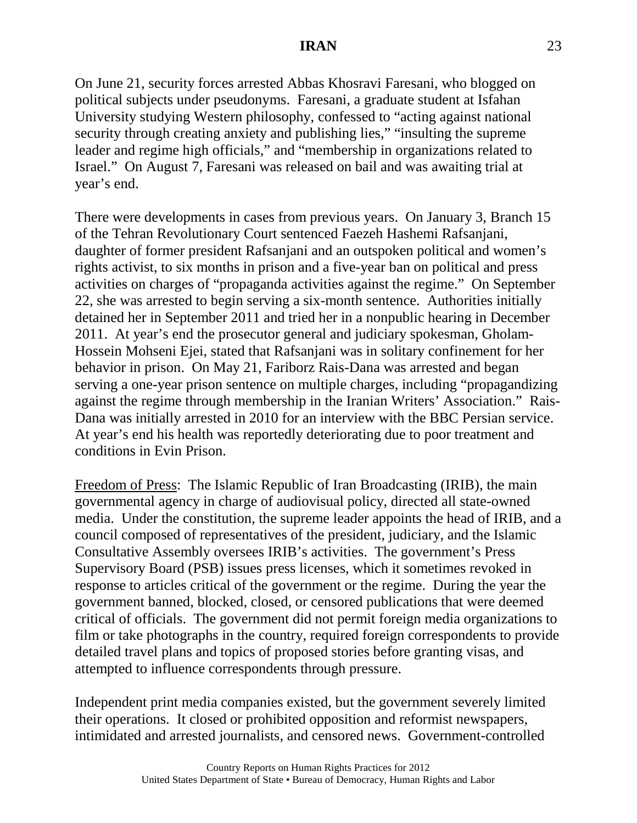On June 21, security forces arrested Abbas Khosravi Faresani, who blogged on political subjects under pseudonyms. Faresani, a graduate student at Isfahan University studying Western philosophy, confessed to "acting against national security through creating anxiety and publishing lies," "insulting the supreme leader and regime high officials," and "membership in organizations related to Israel." On August 7, Faresani was released on bail and was awaiting trial at year's end.

There were developments in cases from previous years. On January 3, Branch 15 of the Tehran Revolutionary Court sentenced Faezeh Hashemi Rafsanjani, daughter of former president Rafsanjani and an outspoken political and women's rights activist, to six months in prison and a five-year ban on political and press activities on charges of "propaganda activities against the regime." On September 22, she was arrested to begin serving a six-month sentence. Authorities initially detained her in September 2011 and tried her in a nonpublic hearing in December 2011. At year's end the prosecutor general and judiciary spokesman, Gholam-Hossein Mohseni Ejei, stated that Rafsanjani was in solitary confinement for her behavior in prison. On May 21, Fariborz Rais-Dana was arrested and began serving a one-year prison sentence on multiple charges, including "propagandizing against the regime through membership in the Iranian Writers' Association." Rais-Dana was initially arrested in 2010 for an interview with the BBC Persian service. At year's end his health was reportedly deteriorating due to poor treatment and conditions in Evin Prison.

Freedom of Press: The Islamic Republic of Iran Broadcasting (IRIB), the main governmental agency in charge of audiovisual policy, directed all state-owned media. Under the constitution, the supreme leader appoints the head of IRIB, and a council composed of representatives of the president, judiciary, and the Islamic Consultative Assembly oversees IRIB's activities. The government's Press Supervisory Board (PSB) issues press licenses, which it sometimes revoked in response to articles critical of the government or the regime. During the year the government banned, blocked, closed, or censored publications that were deemed critical of officials. The government did not permit foreign media organizations to film or take photographs in the country, required foreign correspondents to provide detailed travel plans and topics of proposed stories before granting visas, and attempted to influence correspondents through pressure.

Independent print media companies existed, but the government severely limited their operations. It closed or prohibited opposition and reformist newspapers, intimidated and arrested journalists, and censored news. Government-controlled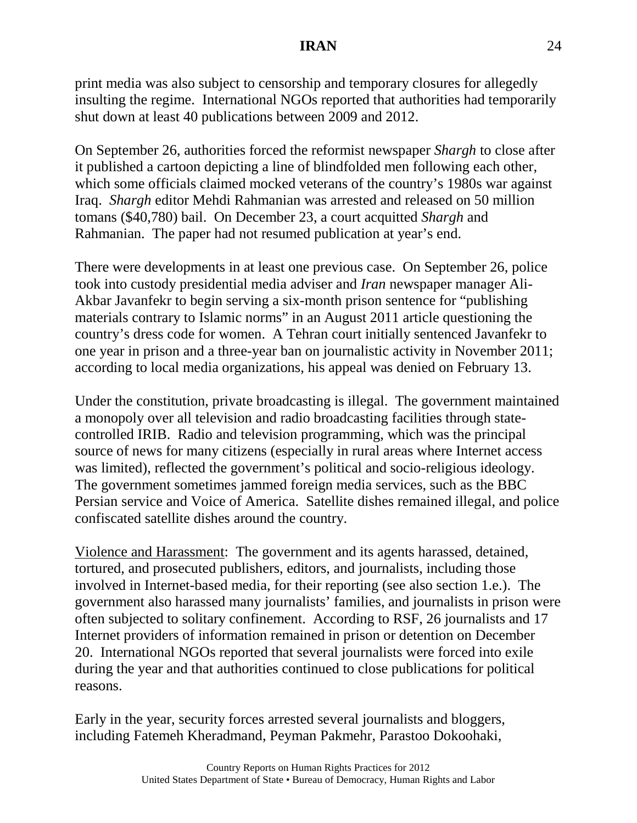print media was also subject to censorship and temporary closures for allegedly insulting the regime. International NGOs reported that authorities had temporarily shut down at least 40 publications between 2009 and 2012.

On September 26, authorities forced the reformist newspaper *Shargh* to close after it published a cartoon depicting a line of blindfolded men following each other, which some officials claimed mocked veterans of the country's 1980s war against Iraq. *Shargh* editor Mehdi Rahmanian was arrested and released on 50 million tomans (\$40,780) bail. On December 23, a court acquitted *Shargh* and Rahmanian. The paper had not resumed publication at year's end.

There were developments in at least one previous case. On September 26, police took into custody presidential media adviser and *Iran* newspaper manager Ali-Akbar Javanfekr to begin serving a six-month prison sentence for "publishing materials contrary to Islamic norms" in an August 2011 article questioning the country's dress code for women. A Tehran court initially sentenced Javanfekr to one year in prison and a three-year ban on journalistic activity in November 2011; according to local media organizations, his appeal was denied on February 13.

Under the constitution, private broadcasting is illegal. The government maintained a monopoly over all television and radio broadcasting facilities through statecontrolled IRIB. Radio and television programming, which was the principal source of news for many citizens (especially in rural areas where Internet access was limited), reflected the government's political and socio-religious ideology. The government sometimes jammed foreign media services, such as the BBC Persian service and Voice of America. Satellite dishes remained illegal, and police confiscated satellite dishes around the country.

Violence and Harassment: The government and its agents harassed, detained, tortured, and prosecuted publishers, editors, and journalists, including those involved in Internet-based media, for their reporting (see also section 1.e.). The government also harassed many journalists' families, and journalists in prison were often subjected to solitary confinement. According to RSF, 26 journalists and 17 Internet providers of information remained in prison or detention on December 20. International NGOs reported that several journalists were forced into exile during the year and that authorities continued to close publications for political reasons.

Early in the year, security forces arrested several journalists and bloggers, including Fatemeh Kheradmand, Peyman Pakmehr, Parastoo Dokoohaki,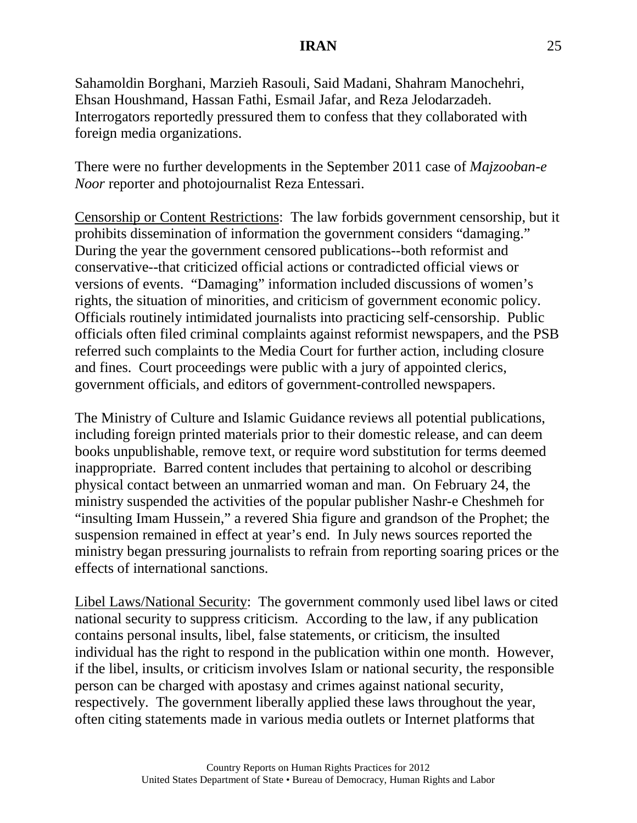Sahamoldin Borghani, Marzieh Rasouli, Said Madani, Shahram Manochehri, Ehsan Houshmand, Hassan Fathi, Esmail Jafar, and Reza Jelodarzadeh. Interrogators reportedly pressured them to confess that they collaborated with foreign media organizations.

There were no further developments in the September 2011 case of *Majzooban-e Noor* reporter and photojournalist Reza Entessari.

Censorship or Content Restrictions: The law forbids government censorship, but it prohibits dissemination of information the government considers "damaging." During the year the government censored publications--both reformist and conservative--that criticized official actions or contradicted official views or versions of events. "Damaging" information included discussions of women's rights, the situation of minorities, and criticism of government economic policy. Officials routinely intimidated journalists into practicing self-censorship. Public officials often filed criminal complaints against reformist newspapers, and the PSB referred such complaints to the Media Court for further action, including closure and fines. Court proceedings were public with a jury of appointed clerics, government officials, and editors of government-controlled newspapers.

The Ministry of Culture and Islamic Guidance reviews all potential publications, including foreign printed materials prior to their domestic release, and can deem books unpublishable, remove text, or require word substitution for terms deemed inappropriate. Barred content includes that pertaining to alcohol or describing physical contact between an unmarried woman and man. On February 24, the ministry suspended the activities of the popular publisher Nashr-e Cheshmeh for "insulting Imam Hussein," a revered Shia figure and grandson of the Prophet; the suspension remained in effect at year's end. In July news sources reported the ministry began pressuring journalists to refrain from reporting soaring prices or the effects of international sanctions.

Libel Laws/National Security: The government commonly used libel laws or cited national security to suppress criticism. According to the law, if any publication contains personal insults, libel, false statements, or criticism, the insulted individual has the right to respond in the publication within one month. However, if the libel, insults, or criticism involves Islam or national security, the responsible person can be charged with apostasy and crimes against national security, respectively. The government liberally applied these laws throughout the year, often citing statements made in various media outlets or Internet platforms that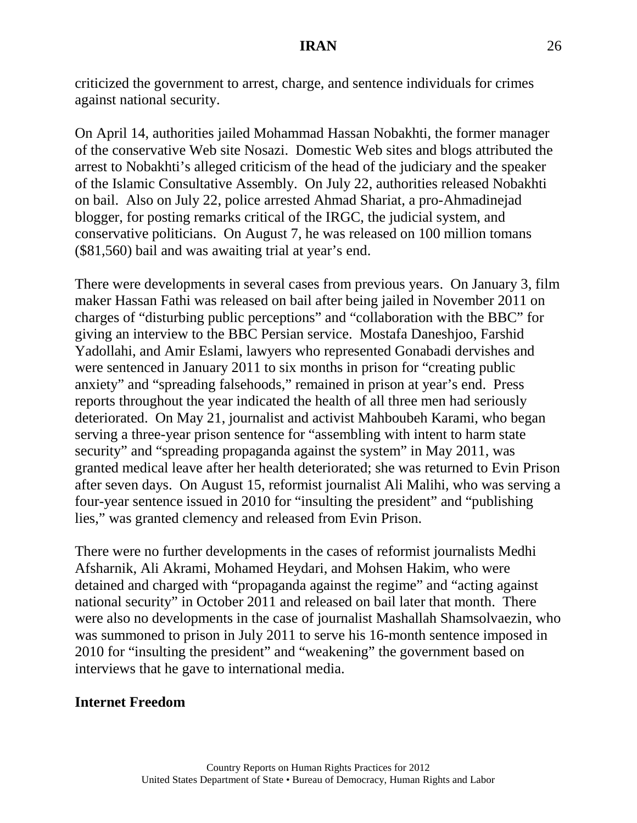criticized the government to arrest, charge, and sentence individuals for crimes against national security.

On April 14, authorities jailed Mohammad Hassan Nobakhti, the former manager of the conservative Web site Nosazi. Domestic Web sites and blogs attributed the arrest to Nobakhti's alleged criticism of the head of the judiciary and the speaker of the Islamic Consultative Assembly. On July 22, authorities released Nobakhti on bail. Also on July 22, police arrested Ahmad Shariat, a pro-Ahmadinejad blogger, for posting remarks critical of the IRGC, the judicial system, and conservative politicians. On August 7, he was released on 100 million tomans (\$81,560) bail and was awaiting trial at year's end.

There were developments in several cases from previous years. On January 3, film maker Hassan Fathi was released on bail after being jailed in November 2011 on charges of "disturbing public perceptions" and "collaboration with the BBC" for giving an interview to the BBC Persian service. Mostafa Daneshjoo, Farshid Yadollahi, and Amir Eslami, lawyers who represented Gonabadi dervishes and were sentenced in January 2011 to six months in prison for "creating public anxiety" and "spreading falsehoods," remained in prison at year's end. Press reports throughout the year indicated the health of all three men had seriously deteriorated. On May 21, journalist and activist Mahboubeh Karami, who began serving a three-year prison sentence for "assembling with intent to harm state security" and "spreading propaganda against the system" in May 2011, was granted medical leave after her health deteriorated; she was returned to Evin Prison after seven days. On August 15, reformist journalist Ali Malihi, who was serving a four-year sentence issued in 2010 for "insulting the president" and "publishing lies," was granted clemency and released from Evin Prison.

There were no further developments in the cases of reformist journalists Medhi Afsharnik, Ali Akrami, Mohamed Heydari, and Mohsen Hakim, who were detained and charged with "propaganda against the regime" and "acting against national security" in October 2011 and released on bail later that month. There were also no developments in the case of journalist Mashallah Shamsolvaezin, who was summoned to prison in July 2011 to serve his 16-month sentence imposed in 2010 for "insulting the president" and "weakening" the government based on interviews that he gave to international media.

### **Internet Freedom**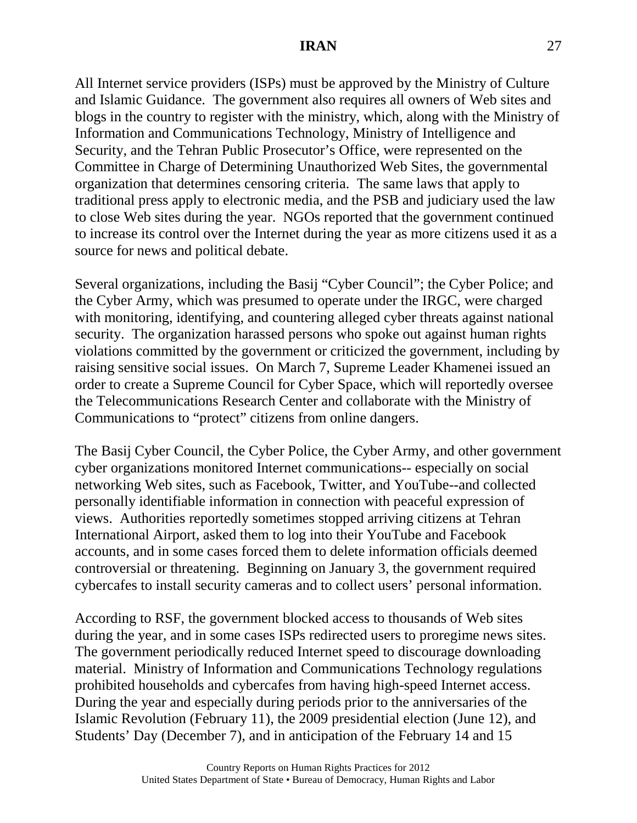All Internet service providers (ISPs) must be approved by the Ministry of Culture and Islamic Guidance. The government also requires all owners of Web sites and blogs in the country to register with the ministry, which, along with the Ministry of Information and Communications Technology, Ministry of Intelligence and Security, and the Tehran Public Prosecutor's Office, were represented on the Committee in Charge of Determining Unauthorized Web Sites, the governmental organization that determines censoring criteria. The same laws that apply to traditional press apply to electronic media, and the PSB and judiciary used the law to close Web sites during the year. NGOs reported that the government continued to increase its control over the Internet during the year as more citizens used it as a source for news and political debate.

Several organizations, including the Basij "Cyber Council"; the Cyber Police; and the Cyber Army, which was presumed to operate under the IRGC, were charged with monitoring, identifying, and countering alleged cyber threats against national security. The organization harassed persons who spoke out against human rights violations committed by the government or criticized the government, including by raising sensitive social issues. On March 7, Supreme Leader Khamenei issued an order to create a Supreme Council for Cyber Space, which will reportedly oversee the Telecommunications Research Center and collaborate with the Ministry of Communications to "protect" citizens from online dangers.

The Basij Cyber Council, the Cyber Police, the Cyber Army, and other government cyber organizations monitored Internet communications-- especially on social networking Web sites, such as Facebook, Twitter, and YouTube--and collected personally identifiable information in connection with peaceful expression of views. Authorities reportedly sometimes stopped arriving citizens at Tehran International Airport, asked them to log into their YouTube and Facebook accounts, and in some cases forced them to delete information officials deemed controversial or threatening. Beginning on January 3, the government required cybercafes to install security cameras and to collect users' personal information.

According to RSF, the government blocked access to thousands of Web sites during the year, and in some cases ISPs redirected users to proregime news sites. The government periodically reduced Internet speed to discourage downloading material. Ministry of Information and Communications Technology regulations prohibited households and cybercafes from having high-speed Internet access. During the year and especially during periods prior to the anniversaries of the Islamic Revolution (February 11), the 2009 presidential election (June 12), and Students' Day (December 7), and in anticipation of the February 14 and 15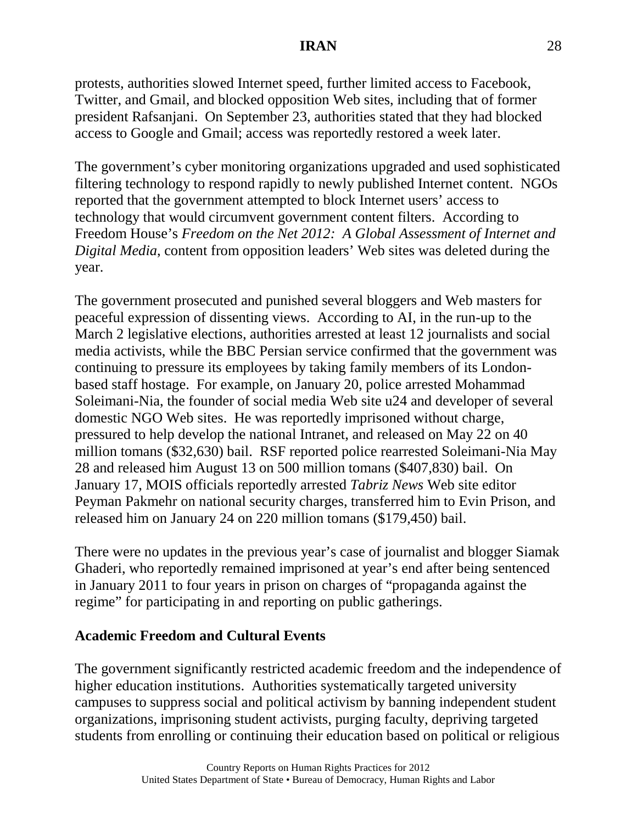protests, authorities slowed Internet speed, further limited access to Facebook, Twitter, and Gmail, and blocked opposition Web sites, including that of former president Rafsanjani. On September 23, authorities stated that they had blocked access to Google and Gmail; access was reportedly restored a week later.

The government's cyber monitoring organizations upgraded and used sophisticated filtering technology to respond rapidly to newly published Internet content. NGOs reported that the government attempted to block Internet users' access to technology that would circumvent government content filters. According to Freedom House's *Freedom on the Net 2012: A Global Assessment of Internet and Digital Media*, content from opposition leaders' Web sites was deleted during the year.

The government prosecuted and punished several bloggers and Web masters for peaceful expression of dissenting views. According to AI, in the run-up to the March 2 legislative elections, authorities arrested at least 12 journalists and social media activists, while the BBC Persian service confirmed that the government was continuing to pressure its employees by taking family members of its Londonbased staff hostage. For example, on January 20, police arrested Mohammad Soleimani-Nia, the founder of social media Web site u24 and developer of several domestic NGO Web sites. He was reportedly imprisoned without charge, pressured to help develop the national Intranet, and released on May 22 on 40 million tomans (\$32,630) bail. RSF reported police rearrested Soleimani-Nia May 28 and released him August 13 on 500 million tomans (\$407,830) bail. On January 17, MOIS officials reportedly arrested *Tabriz News* Web site editor Peyman Pakmehr on national security charges, transferred him to Evin Prison, and released him on January 24 on 220 million tomans (\$179,450) bail.

There were no updates in the previous year's case of journalist and blogger Siamak Ghaderi, who reportedly remained imprisoned at year's end after being sentenced in January 2011 to four years in prison on charges of "propaganda against the regime" for participating in and reporting on public gatherings.

### **Academic Freedom and Cultural Events**

The government significantly restricted academic freedom and the independence of higher education institutions. Authorities systematically targeted university campuses to suppress social and political activism by banning independent student organizations, imprisoning student activists, purging faculty, depriving targeted students from enrolling or continuing their education based on political or religious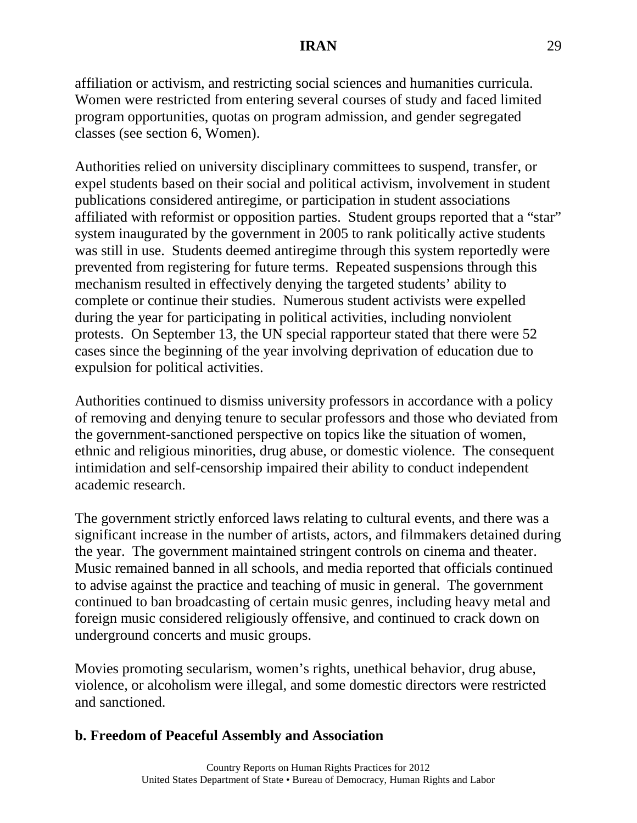affiliation or activism, and restricting social sciences and humanities curricula. Women were restricted from entering several courses of study and faced limited program opportunities, quotas on program admission, and gender segregated classes (see section 6, Women).

Authorities relied on university disciplinary committees to suspend, transfer, or expel students based on their social and political activism, involvement in student publications considered antiregime, or participation in student associations affiliated with reformist or opposition parties. Student groups reported that a "star" system inaugurated by the government in 2005 to rank politically active students was still in use. Students deemed antiregime through this system reportedly were prevented from registering for future terms. Repeated suspensions through this mechanism resulted in effectively denying the targeted students' ability to complete or continue their studies. Numerous student activists were expelled during the year for participating in political activities, including nonviolent protests. On September 13, the UN special rapporteur stated that there were 52 cases since the beginning of the year involving deprivation of education due to expulsion for political activities.

Authorities continued to dismiss university professors in accordance with a policy of removing and denying tenure to secular professors and those who deviated from the government-sanctioned perspective on topics like the situation of women, ethnic and religious minorities, drug abuse, or domestic violence. The consequent intimidation and self-censorship impaired their ability to conduct independent academic research.

The government strictly enforced laws relating to cultural events, and there was a significant increase in the number of artists, actors, and filmmakers detained during the year. The government maintained stringent controls on cinema and theater. Music remained banned in all schools, and media reported that officials continued to advise against the practice and teaching of music in general. The government continued to ban broadcasting of certain music genres, including heavy metal and foreign music considered religiously offensive, and continued to crack down on underground concerts and music groups.

Movies promoting secularism, women's rights, unethical behavior, drug abuse, violence, or alcoholism were illegal, and some domestic directors were restricted and sanctioned.

### **b. Freedom of Peaceful Assembly and Association**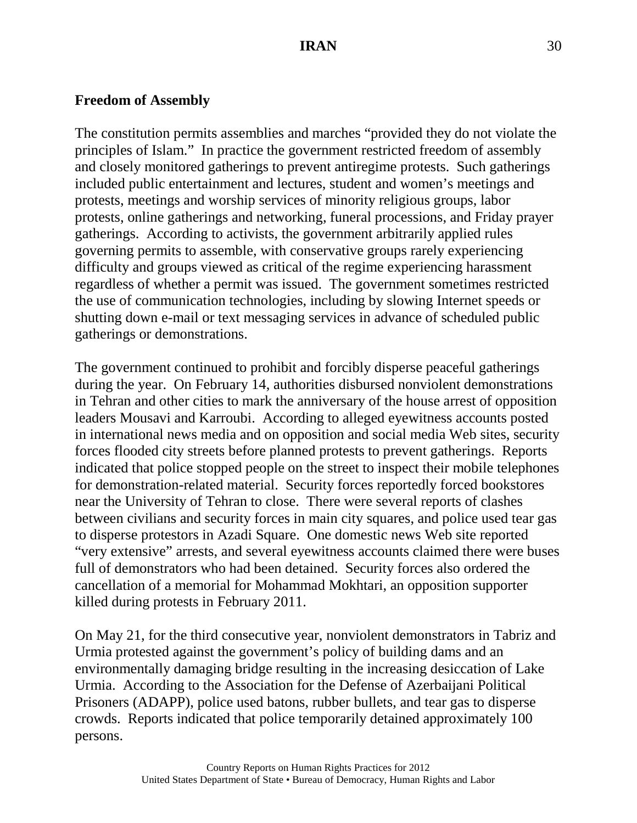### **Freedom of Assembly**

The constitution permits assemblies and marches "provided they do not violate the principles of Islam." In practice the government restricted freedom of assembly and closely monitored gatherings to prevent antiregime protests. Such gatherings included public entertainment and lectures, student and women's meetings and protests, meetings and worship services of minority religious groups, labor protests, online gatherings and networking, funeral processions, and Friday prayer gatherings. According to activists, the government arbitrarily applied rules governing permits to assemble, with conservative groups rarely experiencing difficulty and groups viewed as critical of the regime experiencing harassment regardless of whether a permit was issued. The government sometimes restricted the use of communication technologies, including by slowing Internet speeds or shutting down e-mail or text messaging services in advance of scheduled public gatherings or demonstrations.

The government continued to prohibit and forcibly disperse peaceful gatherings during the year. On February 14, authorities disbursed nonviolent demonstrations in Tehran and other cities to mark the anniversary of the house arrest of opposition leaders Mousavi and Karroubi. According to alleged eyewitness accounts posted in international news media and on opposition and social media Web sites, security forces flooded city streets before planned protests to prevent gatherings. Reports indicated that police stopped people on the street to inspect their mobile telephones for demonstration-related material. Security forces reportedly forced bookstores near the University of Tehran to close. There were several reports of clashes between civilians and security forces in main city squares, and police used tear gas to disperse protestors in Azadi Square. One domestic news Web site reported "very extensive" arrests, and several eyewitness accounts claimed there were buses full of demonstrators who had been detained. Security forces also ordered the cancellation of a memorial for Mohammad Mokhtari, an opposition supporter killed during protests in February 2011.

On May 21, for the third consecutive year, nonviolent demonstrators in Tabriz and Urmia protested against the government's policy of building dams and an environmentally damaging bridge resulting in the increasing desiccation of Lake Urmia. According to the Association for the Defense of Azerbaijani Political Prisoners (ADAPP), police used batons, rubber bullets, and tear gas to disperse crowds. Reports indicated that police temporarily detained approximately 100 persons.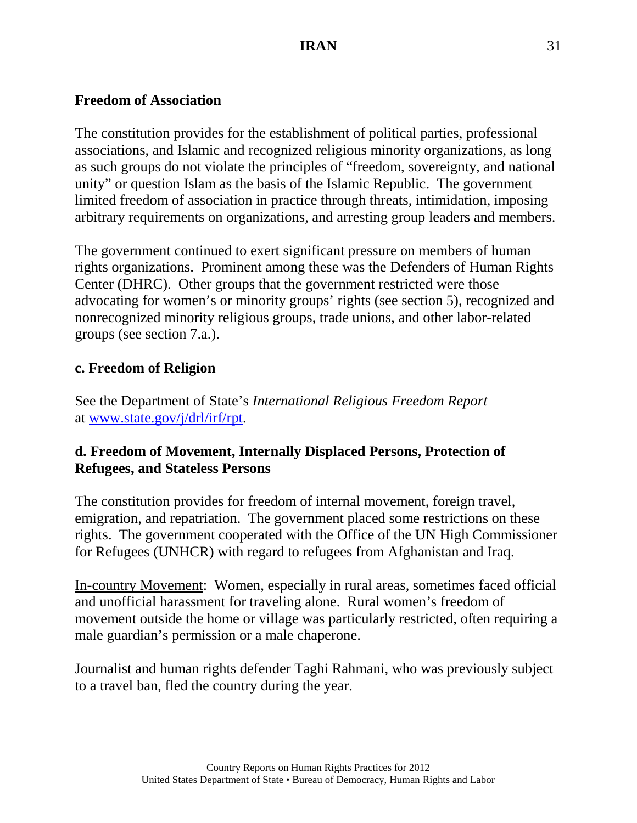### **Freedom of Association**

The constitution provides for the establishment of political parties, professional associations, and Islamic and recognized religious minority organizations, as long as such groups do not violate the principles of "freedom, sovereignty, and national unity" or question Islam as the basis of the Islamic Republic. The government limited freedom of association in practice through threats, intimidation, imposing arbitrary requirements on organizations, and arresting group leaders and members.

The government continued to exert significant pressure on members of human rights organizations. Prominent among these was the Defenders of Human Rights Center (DHRC). Other groups that the government restricted were those advocating for women's or minority groups' rights (see section 5), recognized and nonrecognized minority religious groups, trade unions, and other labor-related groups (see section 7.a.).

## **c. Freedom of Religion**

See the Department of State's *International Religious Freedom Report*  at [www.state.gov/j/drl/irf/rpt.](http://www.state.gov/j/drl/irf/rpt)

# **d. Freedom of Movement, Internally Displaced Persons, Protection of Refugees, and Stateless Persons**

The constitution provides for freedom of internal movement, foreign travel, emigration, and repatriation. The government placed some restrictions on these rights. The government cooperated with the Office of the UN High Commissioner for Refugees (UNHCR) with regard to refugees from Afghanistan and Iraq.

In-country Movement: Women, especially in rural areas, sometimes faced official and unofficial harassment for traveling alone. Rural women's freedom of movement outside the home or village was particularly restricted, often requiring a male guardian's permission or a male chaperone.

Journalist and human rights defender Taghi Rahmani, who was previously subject to a travel ban, fled the country during the year.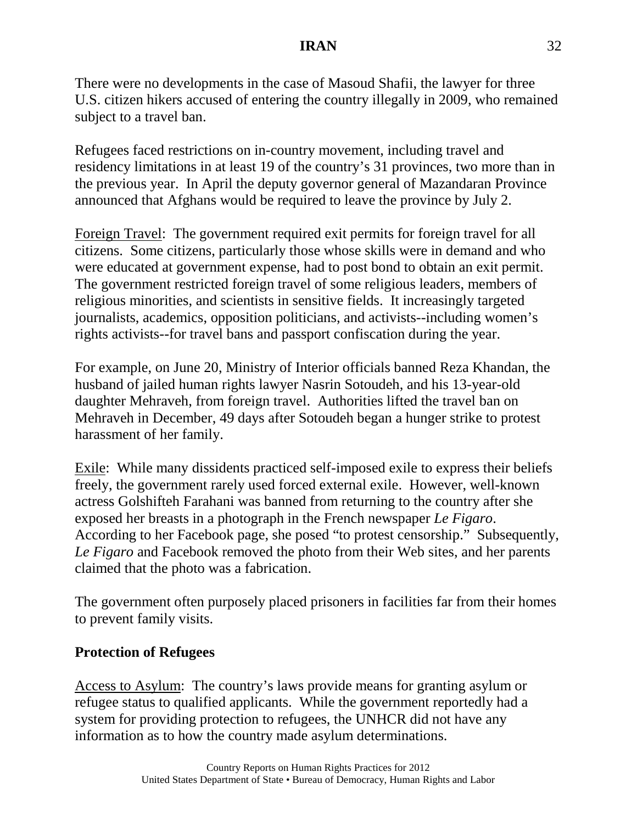There were no developments in the case of Masoud Shafii, the lawyer for three U.S. citizen hikers accused of entering the country illegally in 2009, who remained subject to a travel ban.

Refugees faced restrictions on in-country movement, including travel and residency limitations in at least 19 of the country's 31 provinces, two more than in the previous year. In April the deputy governor general of Mazandaran Province announced that Afghans would be required to leave the province by July 2.

Foreign Travel: The government required exit permits for foreign travel for all citizens. Some citizens, particularly those whose skills were in demand and who were educated at government expense, had to post bond to obtain an exit permit. The government restricted foreign travel of some religious leaders, members of religious minorities, and scientists in sensitive fields. It increasingly targeted journalists, academics, opposition politicians, and activists--including women's rights activists--for travel bans and passport confiscation during the year.

For example, on June 20, Ministry of Interior officials banned Reza Khandan, the husband of jailed human rights lawyer Nasrin Sotoudeh, and his 13-year-old daughter Mehraveh, from foreign travel. Authorities lifted the travel ban on Mehraveh in December, 49 days after Sotoudeh began a hunger strike to protest harassment of her family.

Exile: While many dissidents practiced self-imposed exile to express their beliefs freely, the government rarely used forced external exile. However, well-known actress Golshifteh Farahani was banned from returning to the country after she exposed her breasts in a photograph in the French newspaper *Le Figaro*. According to her Facebook page, she posed "to protest censorship." Subsequently, *Le Figaro* and Facebook removed the photo from their Web sites, and her parents claimed that the photo was a fabrication.

The government often purposely placed prisoners in facilities far from their homes to prevent family visits.

# **Protection of Refugees**

Access to Asylum: The country's laws provide means for granting asylum or refugee status to qualified applicants. While the government reportedly had a system for providing protection to refugees, the UNHCR did not have any information as to how the country made asylum determinations.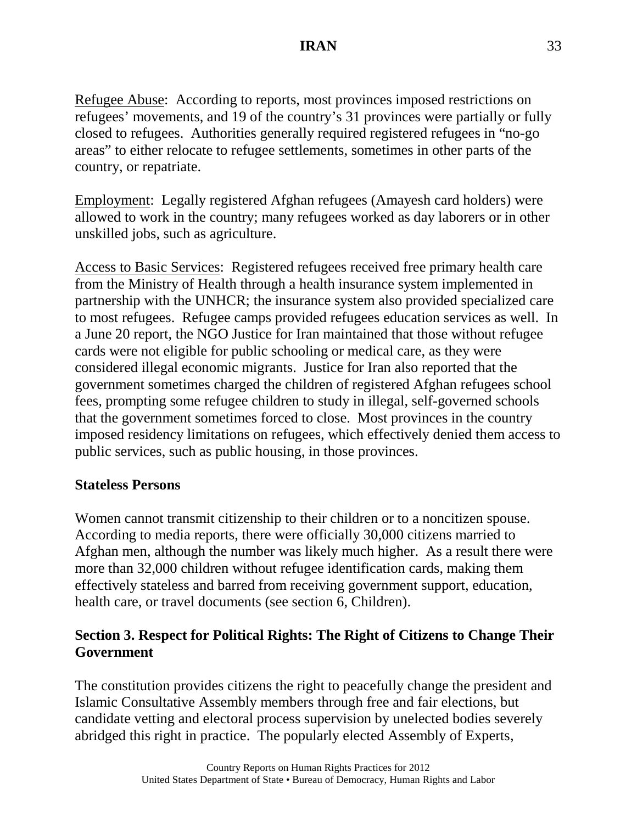Refugee Abuse: According to reports, most provinces imposed restrictions on refugees' movements, and 19 of the country's 31 provinces were partially or fully closed to refugees. Authorities generally required registered refugees in "no-go areas" to either relocate to refugee settlements, sometimes in other parts of the country, or repatriate.

Employment: Legally registered Afghan refugees (Amayesh card holders) were allowed to work in the country; many refugees worked as day laborers or in other unskilled jobs, such as agriculture.

Access to Basic Services: Registered refugees received free primary health care from the Ministry of Health through a health insurance system implemented in partnership with the UNHCR; the insurance system also provided specialized care to most refugees. Refugee camps provided refugees education services as well. In a June 20 report, the NGO Justice for Iran maintained that those without refugee cards were not eligible for public schooling or medical care, as they were considered illegal economic migrants. Justice for Iran also reported that the government sometimes charged the children of registered Afghan refugees school fees, prompting some refugee children to study in illegal, self-governed schools that the government sometimes forced to close. Most provinces in the country imposed residency limitations on refugees, which effectively denied them access to public services, such as public housing, in those provinces.

### **Stateless Persons**

Women cannot transmit citizenship to their children or to a noncitizen spouse. According to media reports, there were officially 30,000 citizens married to Afghan men, although the number was likely much higher. As a result there were more than 32,000 children without refugee identification cards, making them effectively stateless and barred from receiving government support, education, health care, or travel documents (see section 6, Children).

# **Section 3. Respect for Political Rights: The Right of Citizens to Change Their Government**

The constitution provides citizens the right to peacefully change the president and Islamic Consultative Assembly members through free and fair elections, but candidate vetting and electoral process supervision by unelected bodies severely abridged this right in practice. The popularly elected Assembly of Experts,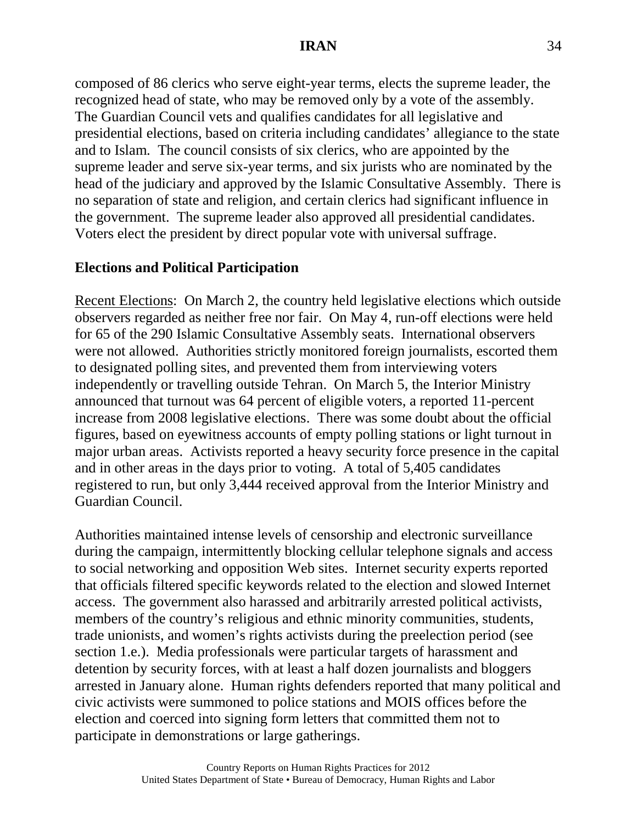composed of 86 clerics who serve eight-year terms, elects the supreme leader, the recognized head of state, who may be removed only by a vote of the assembly. The Guardian Council vets and qualifies candidates for all legislative and presidential elections, based on criteria including candidates' allegiance to the state and to Islam. The council consists of six clerics, who are appointed by the supreme leader and serve six-year terms, and six jurists who are nominated by the head of the judiciary and approved by the Islamic Consultative Assembly. There is no separation of state and religion, and certain clerics had significant influence in the government. The supreme leader also approved all presidential candidates. Voters elect the president by direct popular vote with universal suffrage.

# **Elections and Political Participation**

Recent Elections: On March 2, the country held legislative elections which outside observers regarded as neither free nor fair. On May 4, run-off elections were held for 65 of the 290 Islamic Consultative Assembly seats. International observers were not allowed. Authorities strictly monitored foreign journalists, escorted them to designated polling sites, and prevented them from interviewing voters independently or travelling outside Tehran. On March 5, the Interior Ministry announced that turnout was 64 percent of eligible voters, a reported 11-percent increase from 2008 legislative elections. There was some doubt about the official figures, based on eyewitness accounts of empty polling stations or light turnout in major urban areas. Activists reported a heavy security force presence in the capital and in other areas in the days prior to voting. A total of 5,405 candidates registered to run, but only 3,444 received approval from the Interior Ministry and Guardian Council.

Authorities maintained intense levels of censorship and electronic surveillance during the campaign, intermittently blocking cellular telephone signals and access to social networking and opposition Web sites. Internet security experts reported that officials filtered specific keywords related to the election and slowed Internet access. The government also harassed and arbitrarily arrested political activists, members of the country's religious and ethnic minority communities, students, trade unionists, and women's rights activists during the preelection period (see section 1.e.). Media professionals were particular targets of harassment and detention by security forces, with at least a half dozen journalists and bloggers arrested in January alone. Human rights defenders reported that many political and civic activists were summoned to police stations and MOIS offices before the election and coerced into signing form letters that committed them not to participate in demonstrations or large gatherings.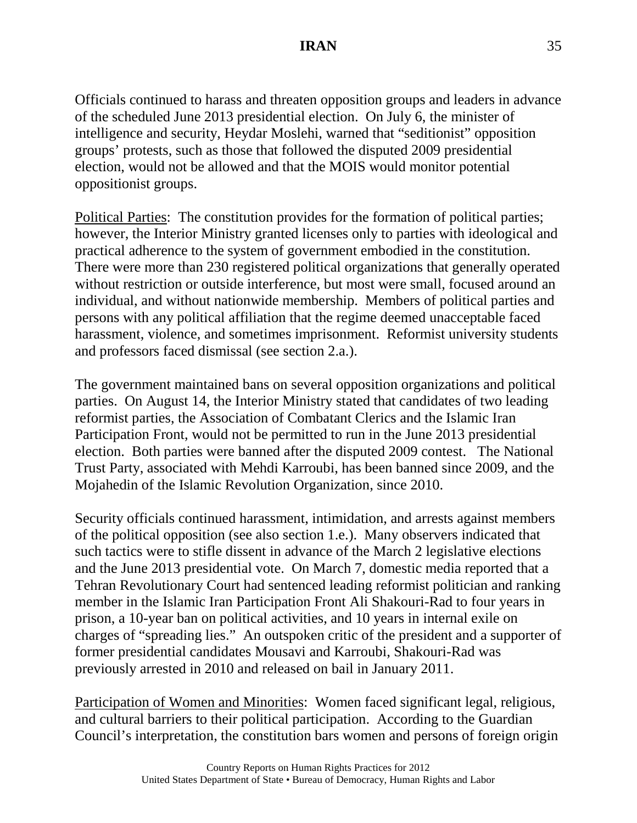Officials continued to harass and threaten opposition groups and leaders in advance of the scheduled June 2013 presidential election. On July 6, the minister of intelligence and security, Heydar Moslehi, warned that "seditionist" opposition groups' protests, such as those that followed the disputed 2009 presidential election, would not be allowed and that the MOIS would monitor potential oppositionist groups.

Political Parties: The constitution provides for the formation of political parties; however, the Interior Ministry granted licenses only to parties with ideological and practical adherence to the system of government embodied in the constitution. There were more than 230 registered political organizations that generally operated without restriction or outside interference, but most were small, focused around an individual, and without nationwide membership. Members of political parties and persons with any political affiliation that the regime deemed unacceptable faced harassment, violence, and sometimes imprisonment. Reformist university students and professors faced dismissal (see section 2.a.).

The government maintained bans on several opposition organizations and political parties. On August 14, the Interior Ministry stated that candidates of two leading reformist parties, the Association of Combatant Clerics and the Islamic Iran Participation Front, would not be permitted to run in the June 2013 presidential election. Both parties were banned after the disputed 2009 contest. The National Trust Party, associated with Mehdi Karroubi, has been banned since 2009, and the Mojahedin of the Islamic Revolution Organization, since 2010.

Security officials continued harassment, intimidation, and arrests against members of the political opposition (see also section 1.e.). Many observers indicated that such tactics were to stifle dissent in advance of the March 2 legislative elections and the June 2013 presidential vote. On March 7, domestic media reported that a Tehran Revolutionary Court had sentenced leading reformist politician and ranking member in the Islamic Iran Participation Front Ali Shakouri-Rad to four years in prison, a 10-year ban on political activities, and 10 years in internal exile on charges of "spreading lies." An outspoken critic of the president and a supporter of former presidential candidates Mousavi and Karroubi, Shakouri-Rad was previously arrested in 2010 and released on bail in January 2011.

Participation of Women and Minorities: Women faced significant legal, religious, and cultural barriers to their political participation. According to the Guardian Council's interpretation, the constitution bars women and persons of foreign origin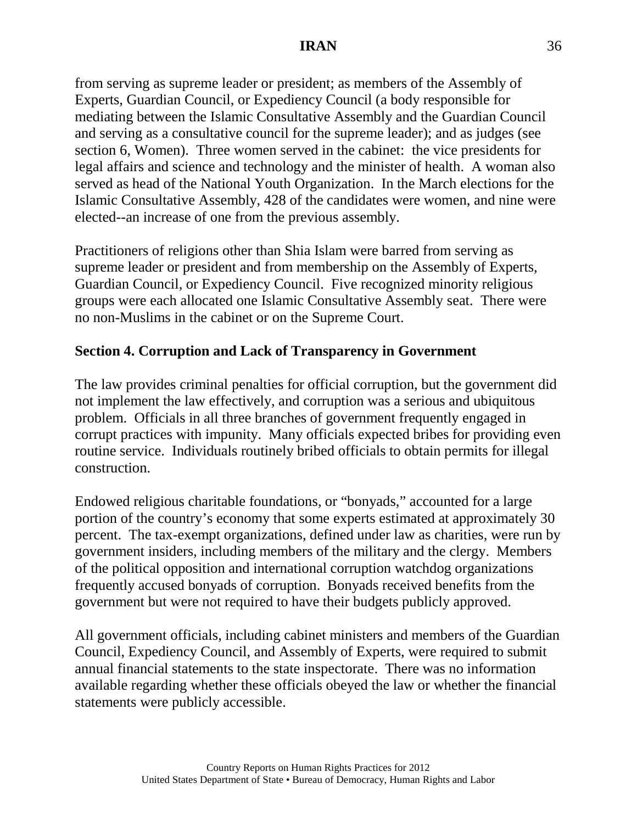from serving as supreme leader or president; as members of the Assembly of Experts, Guardian Council, or Expediency Council (a body responsible for mediating between the Islamic Consultative Assembly and the Guardian Council and serving as a consultative council for the supreme leader); and as judges (see section 6, Women). Three women served in the cabinet: the vice presidents for legal affairs and science and technology and the minister of health. A woman also served as head of the National Youth Organization. In the March elections for the Islamic Consultative Assembly, 428 of the candidates were women, and nine were elected--an increase of one from the previous assembly.

Practitioners of religions other than Shia Islam were barred from serving as supreme leader or president and from membership on the Assembly of Experts, Guardian Council, or Expediency Council. Five recognized minority religious groups were each allocated one Islamic Consultative Assembly seat. There were no non-Muslims in the cabinet or on the Supreme Court.

### **Section 4. Corruption and Lack of Transparency in Government**

The law provides criminal penalties for official corruption, but the government did not implement the law effectively, and corruption was a serious and ubiquitous problem. Officials in all three branches of government frequently engaged in corrupt practices with impunity. Many officials expected bribes for providing even routine service. Individuals routinely bribed officials to obtain permits for illegal construction.

Endowed religious charitable foundations, or "bonyads," accounted for a large portion of the country's economy that some experts estimated at approximately 30 percent. The tax-exempt organizations, defined under law as charities, were run by government insiders, including members of the military and the clergy. Members of the political opposition and international corruption watchdog organizations frequently accused bonyads of corruption. Bonyads received benefits from the government but were not required to have their budgets publicly approved.

All government officials, including cabinet ministers and members of the Guardian Council, Expediency Council, and Assembly of Experts, were required to submit annual financial statements to the state inspectorate. There was no information available regarding whether these officials obeyed the law or whether the financial statements were publicly accessible.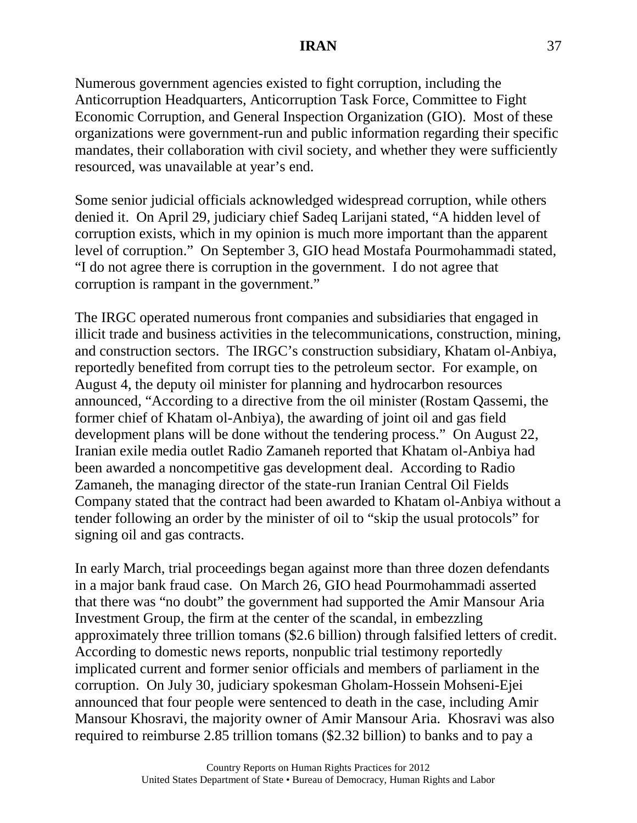Numerous government agencies existed to fight corruption, including the Anticorruption Headquarters, Anticorruption Task Force, Committee to Fight Economic Corruption, and General Inspection Organization (GIO). Most of these organizations were government-run and public information regarding their specific mandates, their collaboration with civil society, and whether they were sufficiently resourced, was unavailable at year's end.

Some senior judicial officials acknowledged widespread corruption, while others denied it. On April 29, judiciary chief Sadeq Larijani stated, "A hidden level of corruption exists, which in my opinion is much more important than the apparent level of corruption." On September 3, GIO head Mostafa Pourmohammadi stated, "I do not agree there is corruption in the government. I do not agree that corruption is rampant in the government."

The IRGC operated numerous front companies and subsidiaries that engaged in illicit trade and business activities in the telecommunications, construction, mining, and construction sectors. The IRGC's construction subsidiary, Khatam ol-Anbiya, reportedly benefited from corrupt ties to the petroleum sector. For example, on August 4, the deputy oil minister for planning and hydrocarbon resources announced, "According to a directive from the oil minister (Rostam Qassemi, the former chief of Khatam ol-Anbiya), the awarding of joint oil and gas field development plans will be done without the tendering process." On August 22, Iranian exile media outlet Radio Zamaneh reported that Khatam ol-Anbiya had been awarded a noncompetitive gas development deal. According to Radio Zamaneh, the managing director of the state-run Iranian Central Oil Fields Company stated that the contract had been awarded to Khatam ol-Anbiya without a tender following an order by the minister of oil to "skip the usual protocols" for signing oil and gas contracts.

In early March, trial proceedings began against more than three dozen defendants in a major bank fraud case. On March 26, GIO head Pourmohammadi asserted that there was "no doubt" the government had supported the Amir Mansour Aria Investment Group, the firm at the center of the scandal, in embezzling approximately three trillion tomans (\$2.6 billion) through falsified letters of credit. According to domestic news reports, nonpublic trial testimony reportedly implicated current and former senior officials and members of parliament in the corruption. On July 30, judiciary spokesman Gholam-Hossein Mohseni-Ejei announced that four people were sentenced to death in the case, including Amir Mansour Khosravi, the majority owner of Amir Mansour Aria. Khosravi was also required to reimburse 2.85 trillion tomans (\$2.32 billion) to banks and to pay a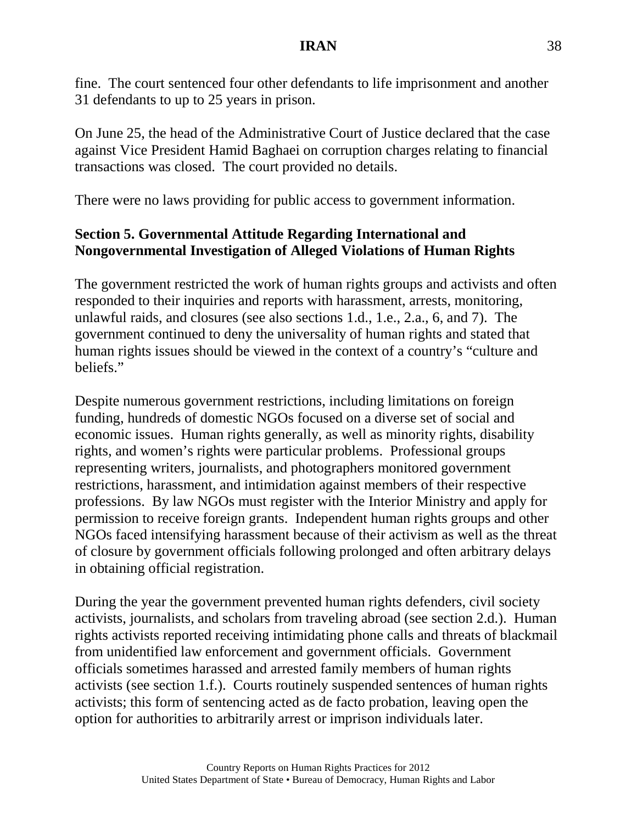fine. The court sentenced four other defendants to life imprisonment and another 31 defendants to up to 25 years in prison.

On June 25, the head of the Administrative Court of Justice declared that the case against Vice President Hamid Baghaei on corruption charges relating to financial transactions was closed. The court provided no details.

There were no laws providing for public access to government information.

# **Section 5. Governmental Attitude Regarding International and Nongovernmental Investigation of Alleged Violations of Human Rights**

The government restricted the work of human rights groups and activists and often responded to their inquiries and reports with harassment, arrests, monitoring, unlawful raids, and closures (see also sections 1.d., 1.e., 2.a., 6, and 7). The government continued to deny the universality of human rights and stated that human rights issues should be viewed in the context of a country's "culture and beliefs."

Despite numerous government restrictions, including limitations on foreign funding, hundreds of domestic NGOs focused on a diverse set of social and economic issues. Human rights generally, as well as minority rights, disability rights, and women's rights were particular problems. Professional groups representing writers, journalists, and photographers monitored government restrictions, harassment, and intimidation against members of their respective professions. By law NGOs must register with the Interior Ministry and apply for permission to receive foreign grants. Independent human rights groups and other NGOs faced intensifying harassment because of their activism as well as the threat of closure by government officials following prolonged and often arbitrary delays in obtaining official registration.

During the year the government prevented human rights defenders, civil society activists, journalists, and scholars from traveling abroad (see section 2.d.). Human rights activists reported receiving intimidating phone calls and threats of blackmail from unidentified law enforcement and government officials. Government officials sometimes harassed and arrested family members of human rights activists (see section 1.f.). Courts routinely suspended sentences of human rights activists; this form of sentencing acted as de facto probation, leaving open the option for authorities to arbitrarily arrest or imprison individuals later.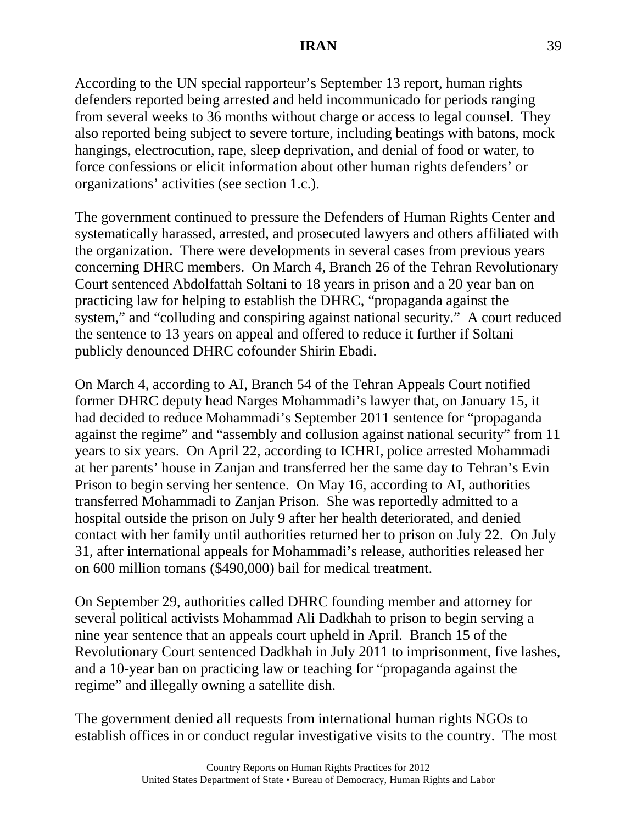According to the UN special rapporteur's September 13 report, human rights defenders reported being arrested and held incommunicado for periods ranging from several weeks to 36 months without charge or access to legal counsel. They also reported being subject to severe torture, including beatings with batons, mock hangings, electrocution, rape, sleep deprivation, and denial of food or water, to force confessions or elicit information about other human rights defenders' or organizations' activities (see section 1.c.).

The government continued to pressure the Defenders of Human Rights Center and systematically harassed, arrested, and prosecuted lawyers and others affiliated with the organization. There were developments in several cases from previous years concerning DHRC members. On March 4, Branch 26 of the Tehran Revolutionary Court sentenced Abdolfattah Soltani to 18 years in prison and a 20 year ban on practicing law for helping to establish the DHRC, "propaganda against the system," and "colluding and conspiring against national security." A court reduced the sentence to 13 years on appeal and offered to reduce it further if Soltani publicly denounced DHRC cofounder Shirin Ebadi.

On March 4, according to AI, Branch 54 of the Tehran Appeals Court notified former DHRC deputy head Narges Mohammadi's lawyer that, on January 15, it had decided to reduce Mohammadi's September 2011 sentence for "propaganda against the regime" and "assembly and collusion against national security" from 11 years to six years. On April 22, according to ICHRI, police arrested Mohammadi at her parents' house in Zanjan and transferred her the same day to Tehran's Evin Prison to begin serving her sentence. On May 16, according to AI, authorities transferred Mohammadi to Zanjan Prison. She was reportedly admitted to a hospital outside the prison on July 9 after her health deteriorated, and denied contact with her family until authorities returned her to prison on July 22. On July 31, after international appeals for Mohammadi's release, authorities released her on 600 million tomans (\$490,000) bail for medical treatment.

On September 29, authorities called DHRC founding member and attorney for several political activists Mohammad Ali Dadkhah to prison to begin serving a nine year sentence that an appeals court upheld in April. Branch 15 of the Revolutionary Court sentenced Dadkhah in July 2011 to imprisonment, five lashes, and a 10-year ban on practicing law or teaching for "propaganda against the regime" and illegally owning a satellite dish.

The government denied all requests from international human rights NGOs to establish offices in or conduct regular investigative visits to the country. The most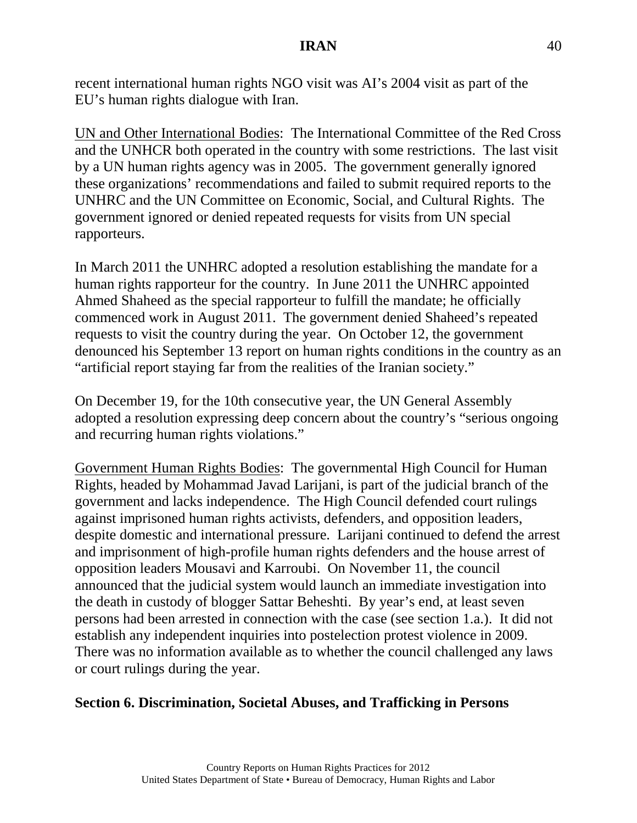recent international human rights NGO visit was AI's 2004 visit as part of the EU's human rights dialogue with Iran.

UN and Other International Bodies: The International Committee of the Red Cross and the UNHCR both operated in the country with some restrictions. The last visit by a UN human rights agency was in 2005. The government generally ignored these organizations' recommendations and failed to submit required reports to the UNHRC and the UN Committee on Economic, Social, and Cultural Rights. The government ignored or denied repeated requests for visits from UN special rapporteurs.

In March 2011 the UNHRC adopted a resolution establishing the mandate for a human rights rapporteur for the country. In June 2011 the UNHRC appointed Ahmed Shaheed as the special rapporteur to fulfill the mandate; he officially commenced work in August 2011. The government denied Shaheed's repeated requests to visit the country during the year. On October 12, the government denounced his September 13 report on human rights conditions in the country as an "artificial report staying far from the realities of the Iranian society."

On December 19, for the 10th consecutive year, the UN General Assembly adopted a resolution expressing deep concern about the country's "serious ongoing and recurring human rights violations."

Government Human Rights Bodies: The governmental High Council for Human Rights, headed by Mohammad Javad Larijani, is part of the judicial branch of the government and lacks independence. The High Council defended court rulings against imprisoned human rights activists, defenders, and opposition leaders, despite domestic and international pressure. Larijani continued to defend the arrest and imprisonment of high-profile human rights defenders and the house arrest of opposition leaders Mousavi and Karroubi. On November 11, the council announced that the judicial system would launch an immediate investigation into the death in custody of blogger Sattar Beheshti. By year's end, at least seven persons had been arrested in connection with the case (see section 1.a.). It did not establish any independent inquiries into postelection protest violence in 2009. There was no information available as to whether the council challenged any laws or court rulings during the year.

### **Section 6. Discrimination, Societal Abuses, and Trafficking in Persons**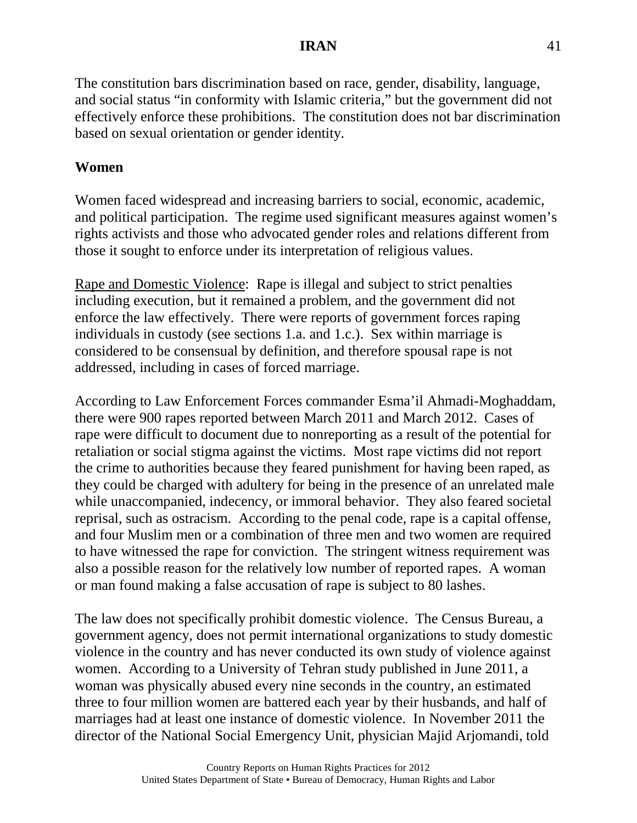The constitution bars discrimination based on race, gender, disability, language, and social status "in conformity with Islamic criteria," but the government did not effectively enforce these prohibitions. The constitution does not bar discrimination based on sexual orientation or gender identity.

# **Women**

Women faced widespread and increasing barriers to social, economic, academic, and political participation. The regime used significant measures against women's rights activists and those who advocated gender roles and relations different from those it sought to enforce under its interpretation of religious values.

Rape and Domestic Violence: Rape is illegal and subject to strict penalties including execution, but it remained a problem, and the government did not enforce the law effectively. There were reports of government forces raping individuals in custody (see sections 1.a. and 1.c.). Sex within marriage is considered to be consensual by definition, and therefore spousal rape is not addressed, including in cases of forced marriage.

According to Law Enforcement Forces commander Esma'il Ahmadi-Moghaddam, there were 900 rapes reported between March 2011 and March 2012. Cases of rape were difficult to document due to nonreporting as a result of the potential for retaliation or social stigma against the victims. Most rape victims did not report the crime to authorities because they feared punishment for having been raped, as they could be charged with adultery for being in the presence of an unrelated male while unaccompanied, indecency, or immoral behavior. They also feared societal reprisal, such as ostracism. According to the penal code, rape is a capital offense, and four Muslim men or a combination of three men and two women are required to have witnessed the rape for conviction. The stringent witness requirement was also a possible reason for the relatively low number of reported rapes. A woman or man found making a false accusation of rape is subject to 80 lashes.

The law does not specifically prohibit domestic violence. The Census Bureau, a government agency, does not permit international organizations to study domestic violence in the country and has never conducted its own study of violence against women. According to a University of Tehran study published in June 2011, a woman was physically abused every nine seconds in the country, an estimated three to four million women are battered each year by their husbands, and half of marriages had at least one instance of domestic violence. In November 2011 the director of the National Social Emergency Unit, physician Majid Arjomandi, told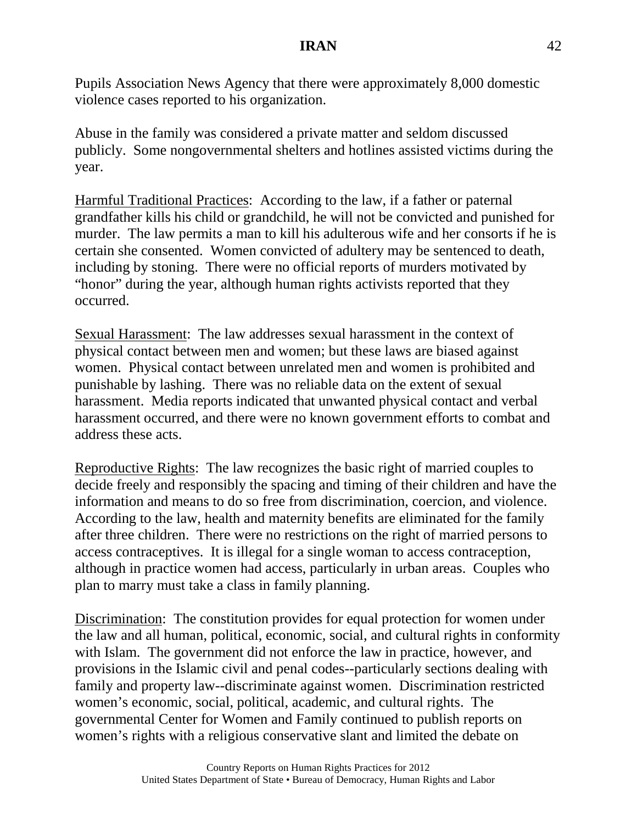Pupils Association News Agency that there were approximately 8,000 domestic violence cases reported to his organization.

Abuse in the family was considered a private matter and seldom discussed publicly. Some nongovernmental shelters and hotlines assisted victims during the year.

Harmful Traditional Practices: According to the law, if a father or paternal grandfather kills his child or grandchild, he will not be convicted and punished for murder. The law permits a man to kill his adulterous wife and her consorts if he is certain she consented. Women convicted of adultery may be sentenced to death, including by stoning. There were no official reports of murders motivated by "honor" during the year, although human rights activists reported that they occurred.

Sexual Harassment: The law addresses sexual harassment in the context of physical contact between men and women; but these laws are biased against women. Physical contact between unrelated men and women is prohibited and punishable by lashing. There was no reliable data on the extent of sexual harassment. Media reports indicated that unwanted physical contact and verbal harassment occurred, and there were no known government efforts to combat and address these acts.

Reproductive Rights: The law recognizes the basic right of married couples to decide freely and responsibly the spacing and timing of their children and have the information and means to do so free from discrimination, coercion, and violence. According to the law, health and maternity benefits are eliminated for the family after three children. There were no restrictions on the right of married persons to access contraceptives. It is illegal for a single woman to access contraception, although in practice women had access, particularly in urban areas. Couples who plan to marry must take a class in family planning.

Discrimination: The constitution provides for equal protection for women under the law and all human, political, economic, social, and cultural rights in conformity with Islam. The government did not enforce the law in practice, however, and provisions in the Islamic civil and penal codes--particularly sections dealing with family and property law--discriminate against women. Discrimination restricted women's economic, social, political, academic, and cultural rights. The governmental Center for Women and Family continued to publish reports on women's rights with a religious conservative slant and limited the debate on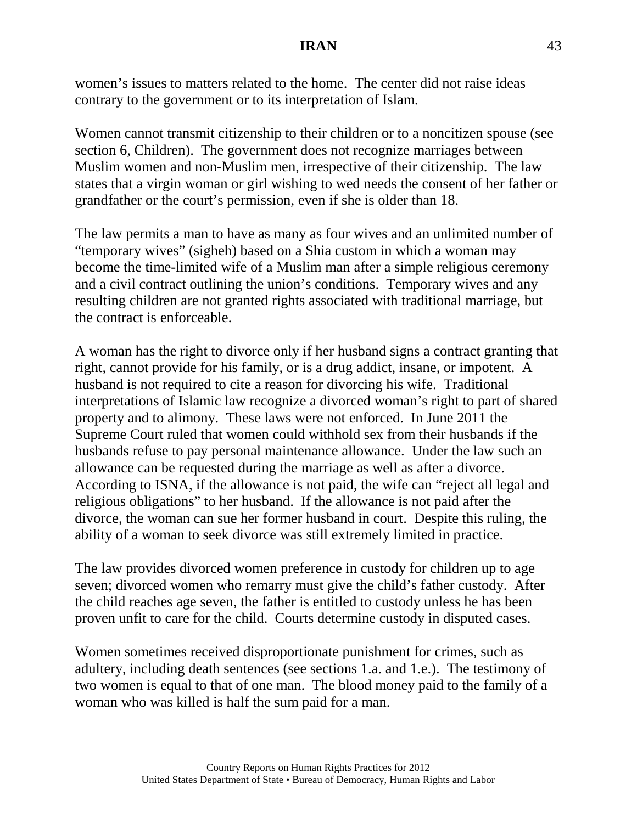women's issues to matters related to the home. The center did not raise ideas contrary to the government or to its interpretation of Islam.

Women cannot transmit citizenship to their children or to a noncitizen spouse (see section 6, Children). The government does not recognize marriages between Muslim women and non-Muslim men, irrespective of their citizenship. The law states that a virgin woman or girl wishing to wed needs the consent of her father or grandfather or the court's permission, even if she is older than 18.

The law permits a man to have as many as four wives and an unlimited number of "temporary wives" (sigheh) based on a Shia custom in which a woman may become the time-limited wife of a Muslim man after a simple religious ceremony and a civil contract outlining the union's conditions. Temporary wives and any resulting children are not granted rights associated with traditional marriage, but the contract is enforceable.

A woman has the right to divorce only if her husband signs a contract granting that right, cannot provide for his family, or is a drug addict, insane, or impotent. A husband is not required to cite a reason for divorcing his wife. Traditional interpretations of Islamic law recognize a divorced woman's right to part of shared property and to alimony. These laws were not enforced. In June 2011 the Supreme Court ruled that women could withhold sex from their husbands if the husbands refuse to pay personal maintenance allowance. Under the law such an allowance can be requested during the marriage as well as after a divorce. According to ISNA, if the allowance is not paid, the wife can "reject all legal and religious obligations" to her husband. If the allowance is not paid after the divorce, the woman can sue her former husband in court. Despite this ruling, the ability of a woman to seek divorce was still extremely limited in practice.

The law provides divorced women preference in custody for children up to age seven; divorced women who remarry must give the child's father custody. After the child reaches age seven, the father is entitled to custody unless he has been proven unfit to care for the child. Courts determine custody in disputed cases.

Women sometimes received disproportionate punishment for crimes, such as adultery, including death sentences (see sections 1.a. and 1.e.). The testimony of two women is equal to that of one man. The blood money paid to the family of a woman who was killed is half the sum paid for a man.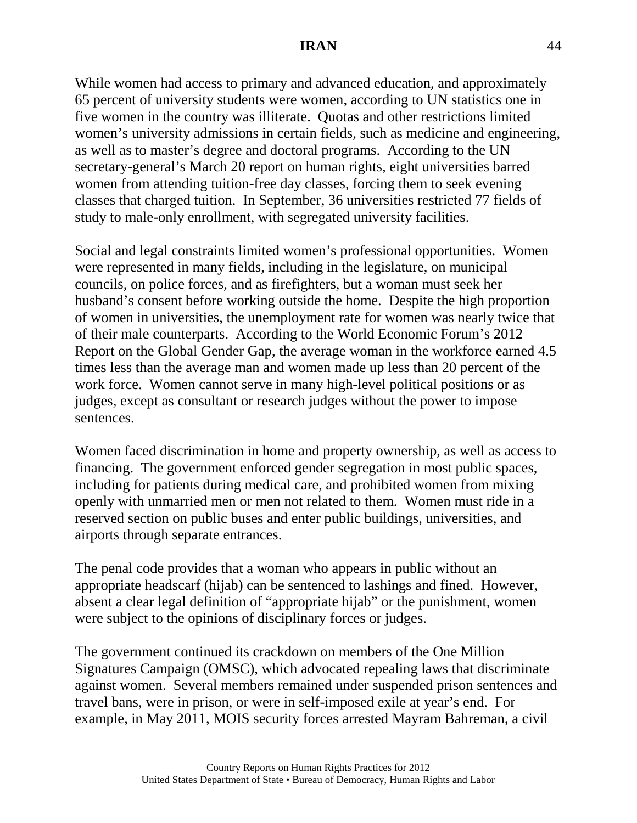While women had access to primary and advanced education, and approximately 65 percent of university students were women, according to UN statistics one in five women in the country was illiterate. Quotas and other restrictions limited women's university admissions in certain fields, such as medicine and engineering, as well as to master's degree and doctoral programs. According to the UN secretary-general's March 20 report on human rights, eight universities barred women from attending tuition-free day classes, forcing them to seek evening classes that charged tuition. In September, 36 universities restricted 77 fields of study to male-only enrollment, with segregated university facilities.

Social and legal constraints limited women's professional opportunities. Women were represented in many fields, including in the legislature, on municipal councils, on police forces, and as firefighters, but a woman must seek her husband's consent before working outside the home. Despite the high proportion of women in universities, the unemployment rate for women was nearly twice that of their male counterparts. According to the World Economic Forum's 2012 Report on the Global Gender Gap, the average woman in the workforce earned 4.5 times less than the average man and women made up less than 20 percent of the work force. Women cannot serve in many high-level political positions or as judges, except as consultant or research judges without the power to impose sentences.

Women faced discrimination in home and property ownership, as well as access to financing. The government enforced gender segregation in most public spaces, including for patients during medical care, and prohibited women from mixing openly with unmarried men or men not related to them. Women must ride in a reserved section on public buses and enter public buildings, universities, and airports through separate entrances.

The penal code provides that a woman who appears in public without an appropriate headscarf (hijab) can be sentenced to lashings and fined. However, absent a clear legal definition of "appropriate hijab" or the punishment, women were subject to the opinions of disciplinary forces or judges.

The government continued its crackdown on members of the One Million Signatures Campaign (OMSC), which advocated repealing laws that discriminate against women. Several members remained under suspended prison sentences and travel bans, were in prison, or were in self-imposed exile at year's end. For example, in May 2011, MOIS security forces arrested Mayram Bahreman, a civil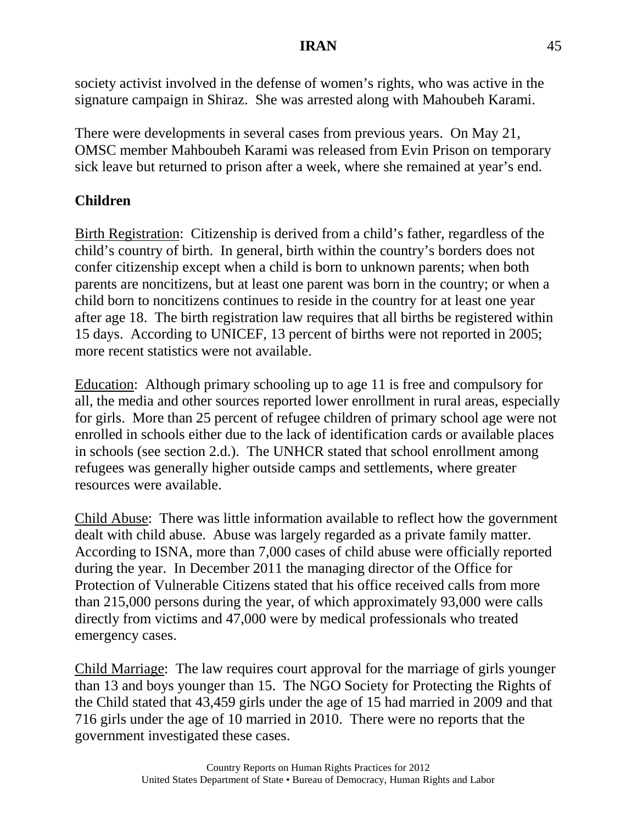society activist involved in the defense of women's rights, who was active in the signature campaign in Shiraz. She was arrested along with Mahoubeh Karami.

There were developments in several cases from previous years. On May 21, OMSC member Mahboubeh Karami was released from Evin Prison on temporary sick leave but returned to prison after a week, where she remained at year's end.

## **Children**

Birth Registration: Citizenship is derived from a child's father, regardless of the child's country of birth. In general, birth within the country's borders does not confer citizenship except when a child is born to unknown parents; when both parents are noncitizens, but at least one parent was born in the country; or when a child born to noncitizens continues to reside in the country for at least one year after age 18. The birth registration law requires that all births be registered within 15 days. According to UNICEF, 13 percent of births were not reported in 2005; more recent statistics were not available.

Education: Although primary schooling up to age 11 is free and compulsory for all, the media and other sources reported lower enrollment in rural areas, especially for girls. More than 25 percent of refugee children of primary school age were not enrolled in schools either due to the lack of identification cards or available places in schools (see section 2.d.). The UNHCR stated that school enrollment among refugees was generally higher outside camps and settlements, where greater resources were available.

Child Abuse: There was little information available to reflect how the government dealt with child abuse. Abuse was largely regarded as a private family matter. According to ISNA, more than 7,000 cases of child abuse were officially reported during the year. In December 2011 the managing director of the Office for Protection of Vulnerable Citizens stated that his office received calls from more than 215,000 persons during the year, of which approximately 93,000 were calls directly from victims and 47,000 were by medical professionals who treated emergency cases.

Child Marriage: The law requires court approval for the marriage of girls younger than 13 and boys younger than 15. The NGO Society for Protecting the Rights of the Child stated that 43,459 girls under the age of 15 had married in 2009 and that 716 girls under the age of 10 married in 2010. There were no reports that the government investigated these cases.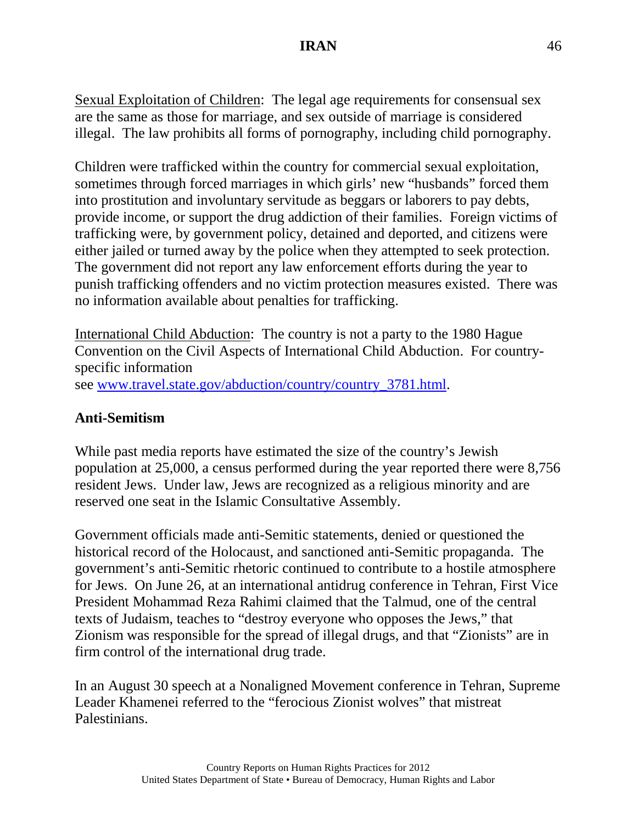Sexual Exploitation of Children: The legal age requirements for consensual sex are the same as those for marriage, and sex outside of marriage is considered illegal. The law prohibits all forms of pornography, including child pornography.

Children were trafficked within the country for commercial sexual exploitation, sometimes through forced marriages in which girls' new "husbands" forced them into prostitution and involuntary servitude as beggars or laborers to pay debts, provide income, or support the drug addiction of their families. Foreign victims of trafficking were, by government policy, detained and deported, and citizens were either jailed or turned away by the police when they attempted to seek protection. The government did not report any law enforcement efforts during the year to punish trafficking offenders and no victim protection measures existed. There was no information available about penalties for trafficking.

International Child Abduction: The country is not a party to the 1980 Hague Convention on the Civil Aspects of International Child Abduction. For countryspecific information see [www.travel.state.gov/abduction/country/country\\_3781.html.](http://www.travel.state.gov/abduction/country/country_3781.html)

### **Anti-Semitism**

While past media reports have estimated the size of the country's Jewish population at 25,000, a census performed during the year reported there were 8,756 resident Jews. Under law, Jews are recognized as a religious minority and are reserved one seat in the Islamic Consultative Assembly.

Government officials made anti-Semitic statements, denied or questioned the historical record of the Holocaust, and sanctioned anti-Semitic propaganda. The government's anti-Semitic rhetoric continued to contribute to a hostile atmosphere for Jews. On June 26, at an international antidrug conference in Tehran, First Vice President Mohammad Reza Rahimi claimed that the Talmud, one of the central texts of Judaism, teaches to "destroy everyone who opposes the Jews," that Zionism was responsible for the spread of illegal drugs, and that "Zionists" are in firm control of the international drug trade.

In an August 30 speech at a Nonaligned Movement conference in Tehran, Supreme Leader Khamenei referred to the "ferocious Zionist wolves" that mistreat Palestinians.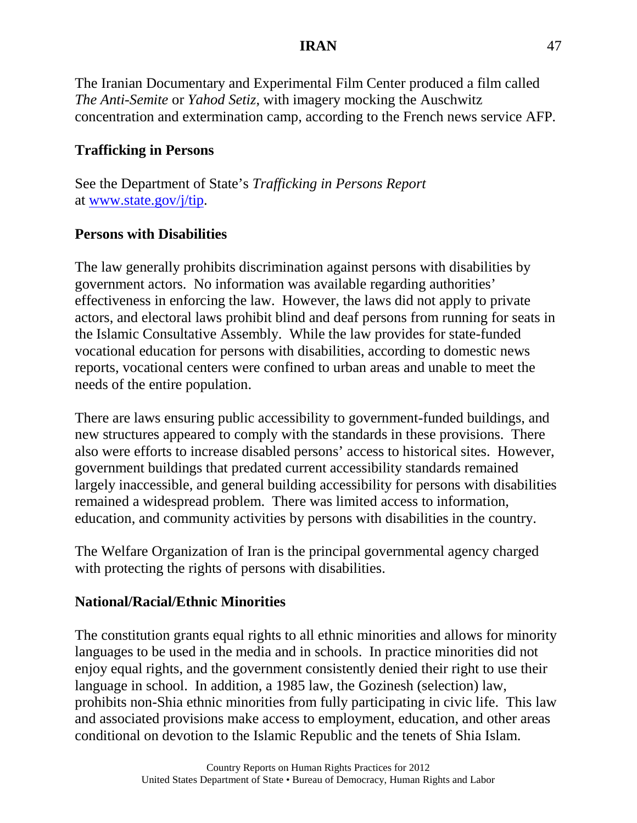The Iranian Documentary and Experimental Film Center produced a film called *The Anti-Semite* or *Yahod Setiz*, with imagery mocking the Auschwitz concentration and extermination camp, according to the French news service AFP*.*

# **Trafficking in Persons**

See the Department of State's *Trafficking in Persons Report* at [www.state.gov/j/tip.](http://www.state.gov/j/tip)

# **Persons with Disabilities**

The law generally prohibits discrimination against persons with disabilities by government actors. No information was available regarding authorities' effectiveness in enforcing the law. However, the laws did not apply to private actors, and electoral laws prohibit blind and deaf persons from running for seats in the Islamic Consultative Assembly. While the law provides for state-funded vocational education for persons with disabilities, according to domestic news reports, vocational centers were confined to urban areas and unable to meet the needs of the entire population.

There are laws ensuring public accessibility to government-funded buildings, and new structures appeared to comply with the standards in these provisions. There also were efforts to increase disabled persons' access to historical sites. However, government buildings that predated current accessibility standards remained largely inaccessible, and general building accessibility for persons with disabilities remained a widespread problem. There was limited access to information, education, and community activities by persons with disabilities in the country.

The Welfare Organization of Iran is the principal governmental agency charged with protecting the rights of persons with disabilities.

# **National/Racial/Ethnic Minorities**

The constitution grants equal rights to all ethnic minorities and allows for minority languages to be used in the media and in schools. In practice minorities did not enjoy equal rights, and the government consistently denied their right to use their language in school. In addition, a 1985 law, the Gozinesh (selection) law, prohibits non-Shia ethnic minorities from fully participating in civic life. This law and associated provisions make access to employment, education, and other areas conditional on devotion to the Islamic Republic and the tenets of Shia Islam.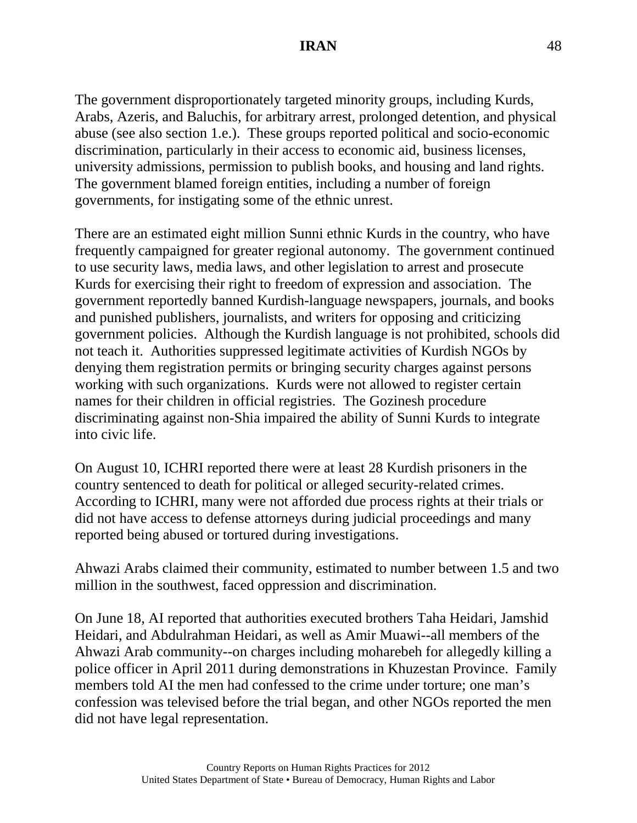The government disproportionately targeted minority groups, including Kurds, Arabs, Azeris, and Baluchis, for arbitrary arrest, prolonged detention, and physical abuse (see also section 1.e.). These groups reported political and socio-economic discrimination, particularly in their access to economic aid, business licenses, university admissions, permission to publish books, and housing and land rights. The government blamed foreign entities, including a number of foreign governments, for instigating some of the ethnic unrest.

There are an estimated eight million Sunni ethnic Kurds in the country, who have frequently campaigned for greater regional autonomy. The government continued to use security laws, media laws, and other legislation to arrest and prosecute Kurds for exercising their right to freedom of expression and association. The government reportedly banned Kurdish-language newspapers, journals, and books and punished publishers, journalists, and writers for opposing and criticizing government policies. Although the Kurdish language is not prohibited, schools did not teach it. Authorities suppressed legitimate activities of Kurdish NGOs by denying them registration permits or bringing security charges against persons working with such organizations. Kurds were not allowed to register certain names for their children in official registries. The Gozinesh procedure discriminating against non-Shia impaired the ability of Sunni Kurds to integrate into civic life.

On August 10, ICHRI reported there were at least 28 Kurdish prisoners in the country sentenced to death for political or alleged security-related crimes. According to ICHRI, many were not afforded due process rights at their trials or did not have access to defense attorneys during judicial proceedings and many reported being abused or tortured during investigations.

Ahwazi Arabs claimed their community, estimated to number between 1.5 and two million in the southwest, faced oppression and discrimination.

On June 18, AI reported that authorities executed brothers Taha Heidari, Jamshid Heidari, and Abdulrahman Heidari, as well as Amir Muawi--all members of the Ahwazi Arab community--on charges including moharebeh for allegedly killing a police officer in April 2011 during demonstrations in Khuzestan Province. Family members told AI the men had confessed to the crime under torture; one man's confession was televised before the trial began, and other NGOs reported the men did not have legal representation.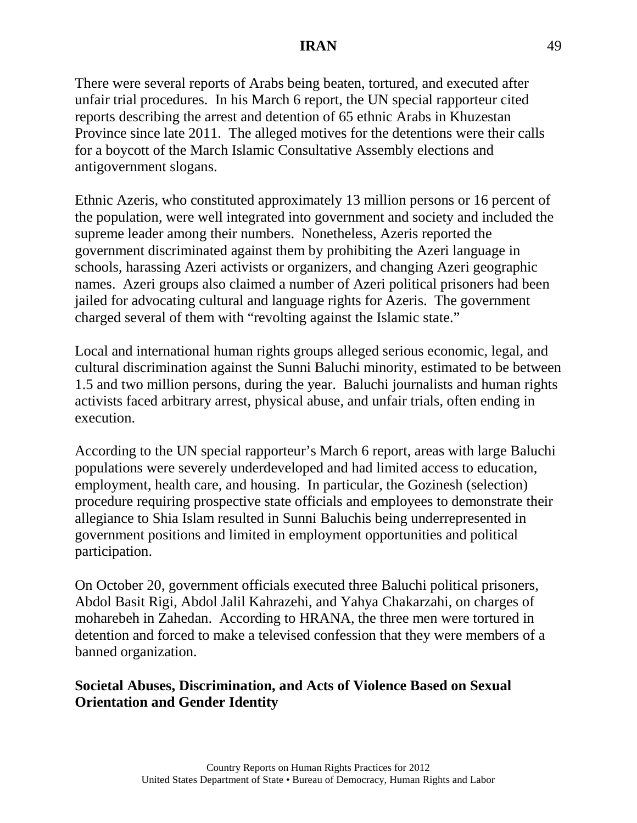There were several reports of Arabs being beaten, tortured, and executed after unfair trial procedures. In his March 6 report, the UN special rapporteur cited reports describing the arrest and detention of 65 ethnic Arabs in Khuzestan Province since late 2011. The alleged motives for the detentions were their calls for a boycott of the March Islamic Consultative Assembly elections and antigovernment slogans.

Ethnic Azeris, who constituted approximately 13 million persons or 16 percent of the population, were well integrated into government and society and included the supreme leader among their numbers. Nonetheless, Azeris reported the government discriminated against them by prohibiting the Azeri language in schools, harassing Azeri activists or organizers, and changing Azeri geographic names. Azeri groups also claimed a number of Azeri political prisoners had been jailed for advocating cultural and language rights for Azeris. The government charged several of them with "revolting against the Islamic state."

Local and international human rights groups alleged serious economic, legal, and cultural discrimination against the Sunni Baluchi minority, estimated to be between 1.5 and two million persons, during the year. Baluchi journalists and human rights activists faced arbitrary arrest, physical abuse, and unfair trials, often ending in execution.

According to the UN special rapporteur's March 6 report, areas with large Baluchi populations were severely underdeveloped and had limited access to education, employment, health care, and housing. In particular, the Gozinesh (selection) procedure requiring prospective state officials and employees to demonstrate their allegiance to Shia Islam resulted in Sunni Baluchis being underrepresented in government positions and limited in employment opportunities and political participation.

On October 20, government officials executed three Baluchi political prisoners, Abdol Basit Rigi, Abdol Jalil Kahrazehi, and Yahya Chakarzahi, on charges of moharebeh in Zahedan. According to HRANA, the three men were tortured in detention and forced to make a televised confession that they were members of a banned organization.

## **Societal Abuses, Discrimination, and Acts of Violence Based on Sexual Orientation and Gender Identity**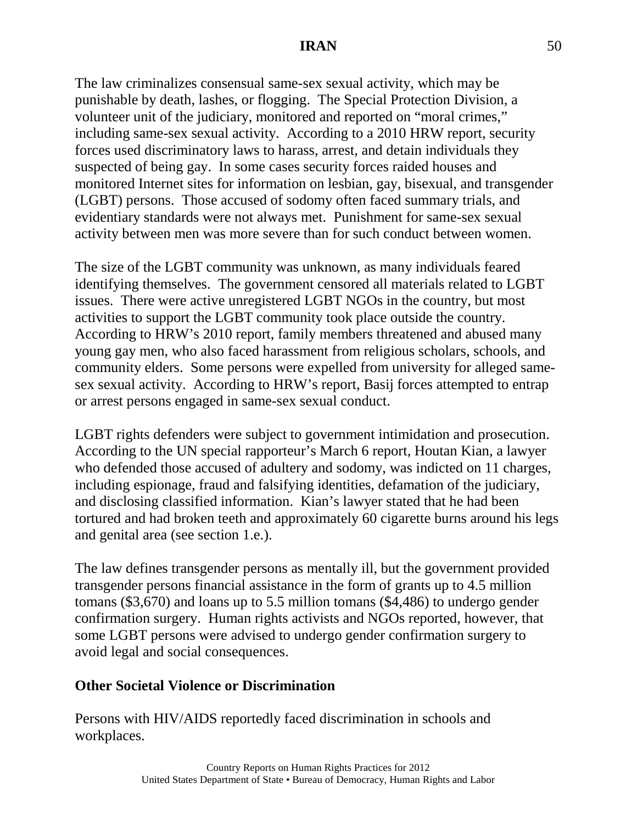The law criminalizes consensual same-sex sexual activity, which may be punishable by death, lashes, or flogging. The Special Protection Division, a volunteer unit of the judiciary, monitored and reported on "moral crimes," including same-sex sexual activity. According to a 2010 HRW report, security forces used discriminatory laws to harass, arrest, and detain individuals they suspected of being gay. In some cases security forces raided houses and monitored Internet sites for information on lesbian, gay, bisexual, and transgender (LGBT) persons. Those accused of sodomy often faced summary trials, and evidentiary standards were not always met. Punishment for same-sex sexual activity between men was more severe than for such conduct between women.

The size of the LGBT community was unknown, as many individuals feared identifying themselves. The government censored all materials related to LGBT issues. There were active unregistered LGBT NGOs in the country, but most activities to support the LGBT community took place outside the country. According to HRW's 2010 report, family members threatened and abused many young gay men, who also faced harassment from religious scholars, schools, and community elders. Some persons were expelled from university for alleged samesex sexual activity. According to HRW's report, Basij forces attempted to entrap or arrest persons engaged in same-sex sexual conduct.

LGBT rights defenders were subject to government intimidation and prosecution. According to the UN special rapporteur's March 6 report, Houtan Kian, a lawyer who defended those accused of adultery and sodomy, was indicted on 11 charges, including espionage, fraud and falsifying identities, defamation of the judiciary, and disclosing classified information. Kian's lawyer stated that he had been tortured and had broken teeth and approximately 60 cigarette burns around his legs and genital area (see section 1.e.).

The law defines transgender persons as mentally ill, but the government provided transgender persons financial assistance in the form of grants up to 4.5 million tomans (\$3,670) and loans up to 5.5 million tomans (\$4,486) to undergo gender confirmation surgery. Human rights activists and NGOs reported, however, that some LGBT persons were advised to undergo gender confirmation surgery to avoid legal and social consequences.

# **Other Societal Violence or Discrimination**

Persons with HIV/AIDS reportedly faced discrimination in schools and workplaces.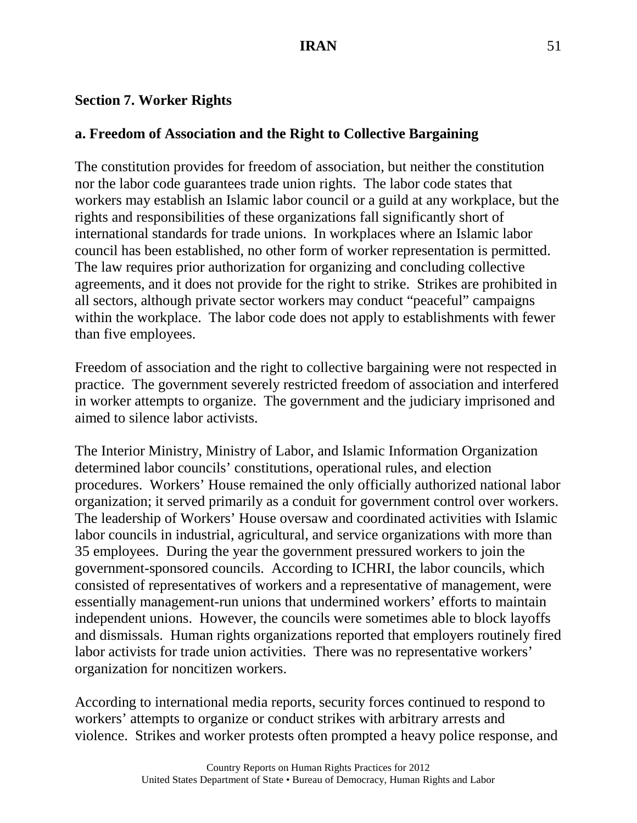## **Section 7. Worker Rights**

# **a. Freedom of Association and the Right to Collective Bargaining**

The constitution provides for freedom of association, but neither the constitution nor the labor code guarantees trade union rights. The labor code states that workers may establish an Islamic labor council or a guild at any workplace, but the rights and responsibilities of these organizations fall significantly short of international standards for trade unions. In workplaces where an Islamic labor council has been established, no other form of worker representation is permitted. The law requires prior authorization for organizing and concluding collective agreements, and it does not provide for the right to strike. Strikes are prohibited in all sectors, although private sector workers may conduct "peaceful" campaigns within the workplace. The labor code does not apply to establishments with fewer than five employees.

Freedom of association and the right to collective bargaining were not respected in practice. The government severely restricted freedom of association and interfered in worker attempts to organize. The government and the judiciary imprisoned and aimed to silence labor activists.

The Interior Ministry, Ministry of Labor, and Islamic Information Organization determined labor councils' constitutions, operational rules, and election procedures. Workers' House remained the only officially authorized national labor organization; it served primarily as a conduit for government control over workers. The leadership of Workers' House oversaw and coordinated activities with Islamic labor councils in industrial, agricultural, and service organizations with more than 35 employees. During the year the government pressured workers to join the government-sponsored councils. According to ICHRI, the labor councils, which consisted of representatives of workers and a representative of management, were essentially management-run unions that undermined workers' efforts to maintain independent unions. However, the councils were sometimes able to block layoffs and dismissals. Human rights organizations reported that employers routinely fired labor activists for trade union activities. There was no representative workers' organization for noncitizen workers.

According to international media reports, security forces continued to respond to workers' attempts to organize or conduct strikes with arbitrary arrests and violence. Strikes and worker protests often prompted a heavy police response, and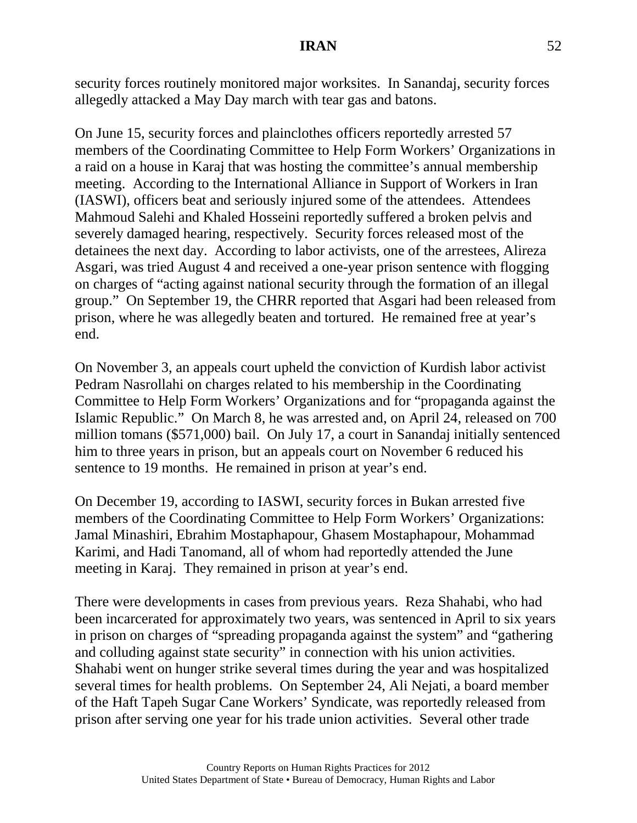security forces routinely monitored major worksites. In Sanandaj, security forces allegedly attacked a May Day march with tear gas and batons.

On June 15, security forces and plainclothes officers reportedly arrested 57 members of the Coordinating Committee to Help Form Workers' Organizations in a raid on a house in Karaj that was hosting the committee's annual membership meeting. According to the International Alliance in Support of Workers in Iran (IASWI), officers beat and seriously injured some of the attendees. Attendees Mahmoud Salehi and Khaled Hosseini reportedly suffered a broken pelvis and severely damaged hearing, respectively. Security forces released most of the detainees the next day. According to labor activists, one of the arrestees, Alireza Asgari, was tried August 4 and received a one-year prison sentence with flogging on charges of "acting against national security through the formation of an illegal group." On September 19, the CHRR reported that Asgari had been released from prison, where he was allegedly beaten and tortured. He remained free at year's end.

On November 3, an appeals court upheld the conviction of Kurdish labor activist Pedram Nasrollahi on charges related to his membership in the Coordinating Committee to Help Form Workers' Organizations and for "propaganda against the Islamic Republic." On March 8, he was arrested and, on April 24, released on 700 million tomans (\$571,000) bail. On July 17, a court in Sanandaj initially sentenced him to three years in prison, but an appeals court on November 6 reduced his sentence to 19 months. He remained in prison at year's end.

On December 19, according to IASWI, security forces in Bukan arrested five members of the Coordinating Committee to Help Form Workers' Organizations: Jamal Minashiri, Ebrahim Mostaphapour, Ghasem Mostaphapour, Mohammad Karimi, and Hadi Tanomand, all of whom had reportedly attended the June meeting in Karaj. They remained in prison at year's end.

There were developments in cases from previous years. Reza Shahabi, who had been incarcerated for approximately two years, was sentenced in April to six years in prison on charges of "spreading propaganda against the system" and "gathering and colluding against state security" in connection with his union activities. Shahabi went on hunger strike several times during the year and was hospitalized several times for health problems. On September 24, Ali Nejati, a board member of the Haft Tapeh Sugar Cane Workers' Syndicate, was reportedly released from prison after serving one year for his trade union activities. Several other trade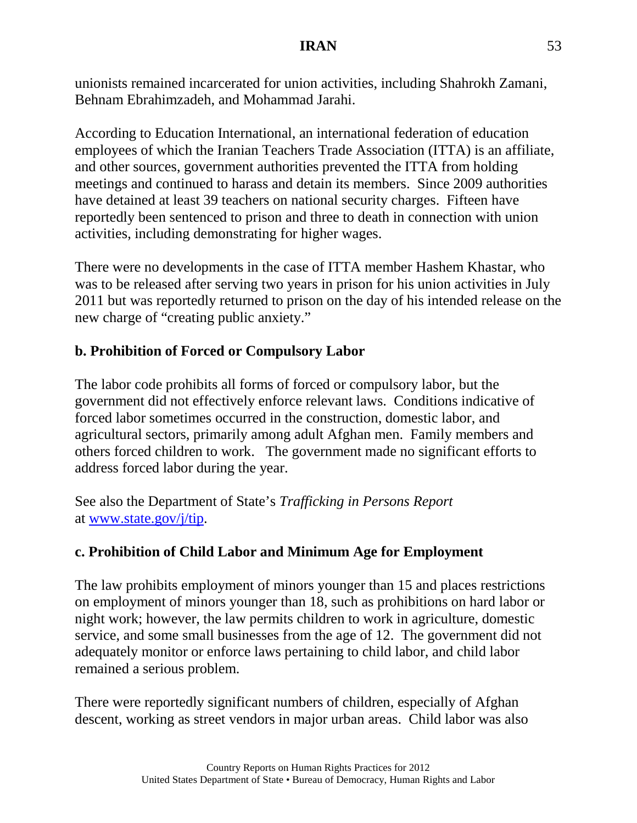unionists remained incarcerated for union activities, including Shahrokh Zamani, Behnam Ebrahimzadeh, and Mohammad Jarahi.

According to Education International, an international federation of education employees of which the Iranian Teachers Trade Association (ITTA) is an affiliate, and other sources, government authorities prevented the ITTA from holding meetings and continued to harass and detain its members. Since 2009 authorities have detained at least 39 teachers on national security charges. Fifteen have reportedly been sentenced to prison and three to death in connection with union activities, including demonstrating for higher wages.

There were no developments in the case of ITTA member Hashem Khastar, who was to be released after serving two years in prison for his union activities in July 2011 but was reportedly returned to prison on the day of his intended release on the new charge of "creating public anxiety."

## **b. Prohibition of Forced or Compulsory Labor**

The labor code prohibits all forms of forced or compulsory labor, but the government did not effectively enforce relevant laws. Conditions indicative of forced labor sometimes occurred in the construction, domestic labor, and agricultural sectors, primarily among adult Afghan men. Family members and others forced children to work. The government made no significant efforts to address forced labor during the year.

See also the Department of State's *Trafficking in Persons Report* at [www.state.gov/j/tip.](http://www.state.gov/j/tip)

### **c. Prohibition of Child Labor and Minimum Age for Employment**

The law prohibits employment of minors younger than 15 and places restrictions on employment of minors younger than 18, such as prohibitions on hard labor or night work; however, the law permits children to work in agriculture, domestic service, and some small businesses from the age of 12. The government did not adequately monitor or enforce laws pertaining to child labor, and child labor remained a serious problem.

There were reportedly significant numbers of children, especially of Afghan descent, working as street vendors in major urban areas. Child labor was also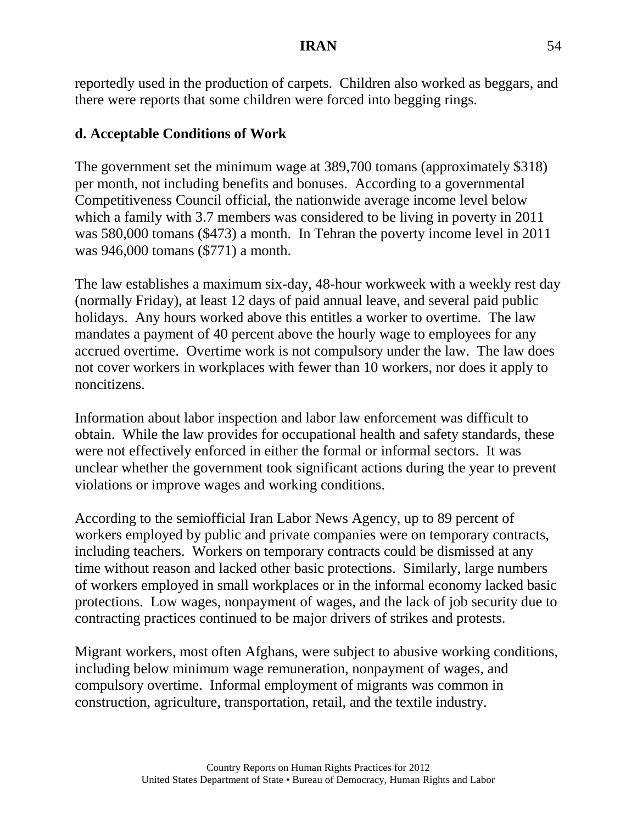reportedly used in the production of carpets. Children also worked as beggars, and there were reports that some children were forced into begging rings.

# **d. Acceptable Conditions of Work**

The government set the minimum wage at 389,700 tomans (approximately \$318) per month, not including benefits and bonuses. According to a governmental Competitiveness Council official, the nationwide average income level below which a family with 3.7 members was considered to be living in poverty in 2011 was 580,000 tomans (\$473) a month. In Tehran the poverty income level in 2011 was 946,000 tomans (\$771) a month.

The law establishes a maximum six-day, 48-hour workweek with a weekly rest day (normally Friday), at least 12 days of paid annual leave, and several paid public holidays. Any hours worked above this entitles a worker to overtime. The law mandates a payment of 40 percent above the hourly wage to employees for any accrued overtime. Overtime work is not compulsory under the law. The law does not cover workers in workplaces with fewer than 10 workers, nor does it apply to noncitizens.

Information about labor inspection and labor law enforcement was difficult to obtain. While the law provides for occupational health and safety standards, these were not effectively enforced in either the formal or informal sectors. It was unclear whether the government took significant actions during the year to prevent violations or improve wages and working conditions.

According to the semiofficial Iran Labor News Agency, up to 89 percent of workers employed by public and private companies were on temporary contracts, including teachers. Workers on temporary contracts could be dismissed at any time without reason and lacked other basic protections. Similarly, large numbers of workers employed in small workplaces or in the informal economy lacked basic protections. Low wages, nonpayment of wages, and the lack of job security due to contracting practices continued to be major drivers of strikes and protests.

Migrant workers, most often Afghans, were subject to abusive working conditions, including below minimum wage remuneration, nonpayment of wages, and compulsory overtime. Informal employment of migrants was common in construction, agriculture, transportation, retail, and the textile industry.